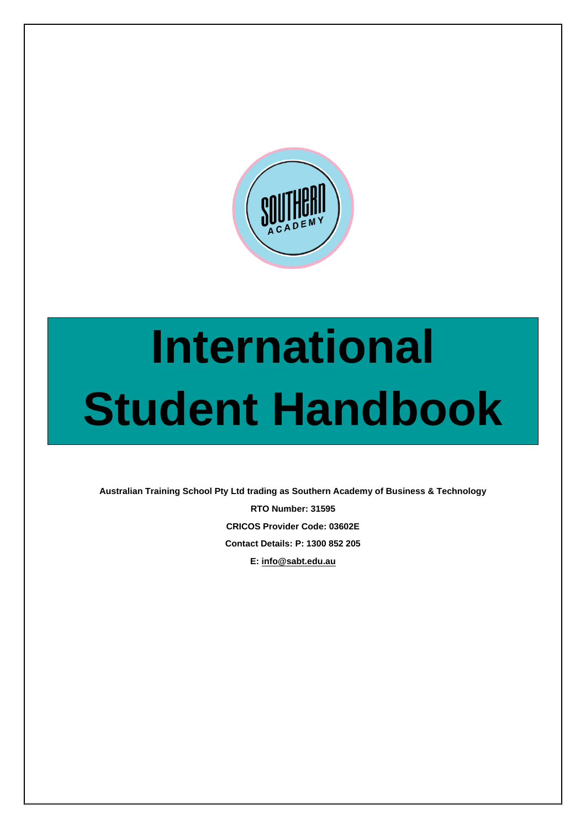

**Australian Training School Pty Ltd trading as Southern Academy of Business & Technology**

**RTO Number: 31595 CRICOS Provider Code: 03602E Contact Details: P: 1300 852 205 E: [info@sabt.edu.au](mailto:info@sabt.edu.au)**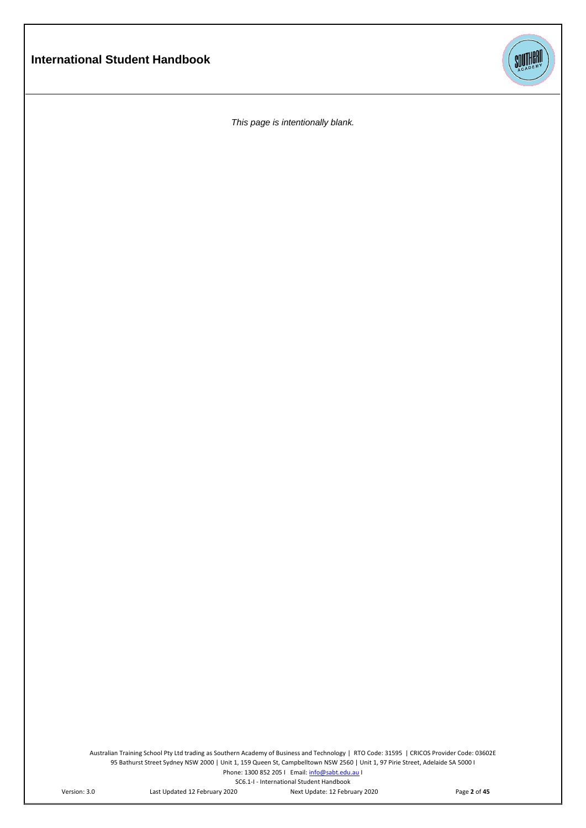

*This page is intentionally blank.*

Australian Training School Pty Ltd trading as Southern Academy of Business and Technology | RTO Code: 31595 | CRICOS Provider Code: 03602E 95 Bathurst Street Sydney NSW 2000 | Unit 1, 159 Queen St, Campbelltown NSW 2560 | Unit 1, 97 Pirie Street, Adelaide SA 5000 I Phone: 1300 852 205 | Email[: info@sabt.edu.au](mailto:info@sabt.edu.au) | SC6.1-I - International Student Handbook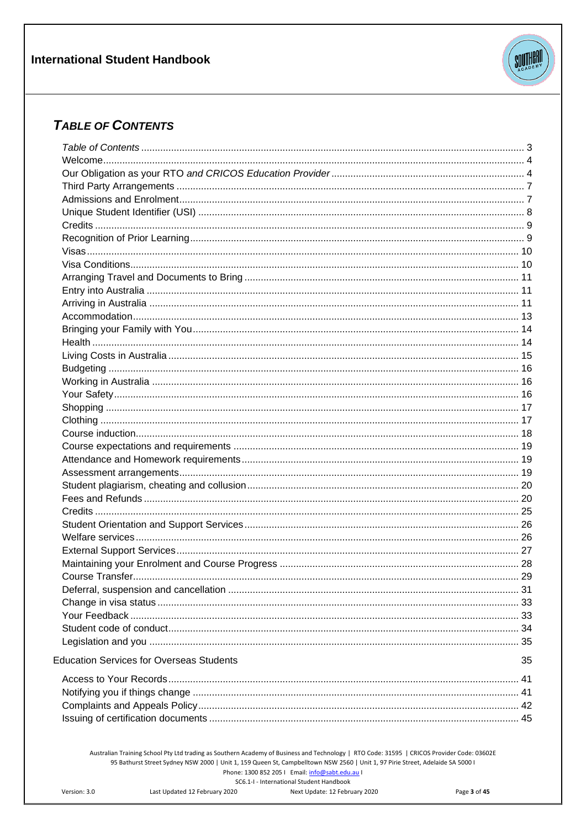

# **TABLE OF CONTENTS**

|                                                 | 29 |
|-------------------------------------------------|----|
|                                                 |    |
|                                                 |    |
|                                                 |    |
|                                                 |    |
|                                                 |    |
| <b>Education Services for Overseas Students</b> | 35 |
|                                                 |    |
|                                                 |    |
|                                                 |    |
|                                                 |    |
|                                                 |    |

Australian Training School Pty Ltd trading as Southern Academy of Business and Technology | RTO Code: 31595 | CRICOS Provider Code: 03602E 95 Bathurst Street Sydney NSW 2000 | Unit 1, 159 Queen St, Campbelltown NSW 2560 | Unit 1, 97 Pirie Street, Adelaide SA 5000 | Phone: 1300 852 2051 Email: info@sabt.edu.au I SC6.1-I - International Student Handbook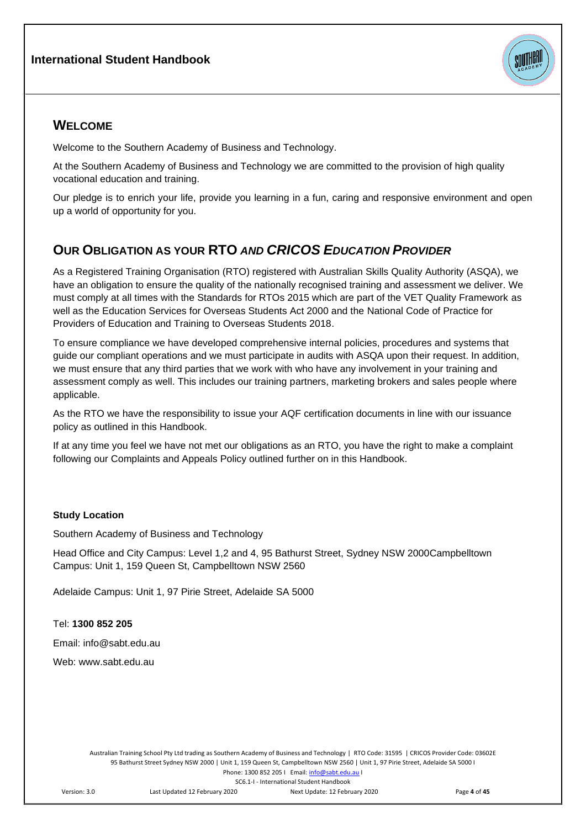

## **WELCOME**

Welcome to the Southern Academy of Business and Technology.

At the Southern Academy of Business and Technology we are committed to the provision of high quality vocational education and training.

Our pledge is to enrich your life, provide you learning in a fun, caring and responsive environment and open up a world of opportunity for you.

# **OUR OBLIGATION AS YOUR RTO** *AND CRICOS EDUCATION PROVIDER*

As a Registered Training Organisation (RTO) registered with Australian Skills Quality Authority (ASQA), we have an obligation to ensure the quality of the nationally recognised training and assessment we deliver. We must comply at all times with the Standards for RTOs 2015 which are part of the VET Quality Framework as well as the Education Services for Overseas Students Act 2000 and the National Code of Practice for Providers of Education and Training to Overseas Students 2018.

To ensure compliance we have developed comprehensive internal policies, procedures and systems that guide our compliant operations and we must participate in audits with ASQA upon their request. In addition, we must ensure that any third parties that we work with who have any involvement in your training and assessment comply as well. This includes our training partners, marketing brokers and sales people where applicable.

As the RTO we have the responsibility to issue your AQF certification documents in line with our issuance policy as outlined in this Handbook.

If at any time you feel we have not met our obligations as an RTO, you have the right to make a complaint following our Complaints and Appeals Policy outlined further on in this Handbook.

#### **Study Location**

Southern Academy of Business and Technology

Head Office and City Campus: Level 1,2 and 4, 95 Bathurst Street, Sydney NSW 2000Campbelltown Campus: Unit 1, 159 Queen St, Campbelltown NSW 2560

Adelaide Campus: Unit 1, 97 Pirie Street, Adelaide SA 5000

#### Tel: **1300 852 205**

Email: info@sabt.edu.au

Web: www.sabt.edu.au

Australian Training School Pty Ltd trading as Southern Academy of Business and Technology | RTO Code: 31595 | CRICOS Provider Code: 03602E 95 Bathurst Street Sydney NSW 2000 | Unit 1, 159 Queen St, Campbelltown NSW 2560 | Unit 1, 97 Pirie Street, Adelaide SA 5000 I Phone: 1300 852 205 I Email[: info@sabt.edu.au](mailto:info@sabt.edu.au) I SC6.1-I - International Student Handbook Version: 3.0 Last Updated 12 February 2020 Next Update: 12 February 2020 Page **4** of **45**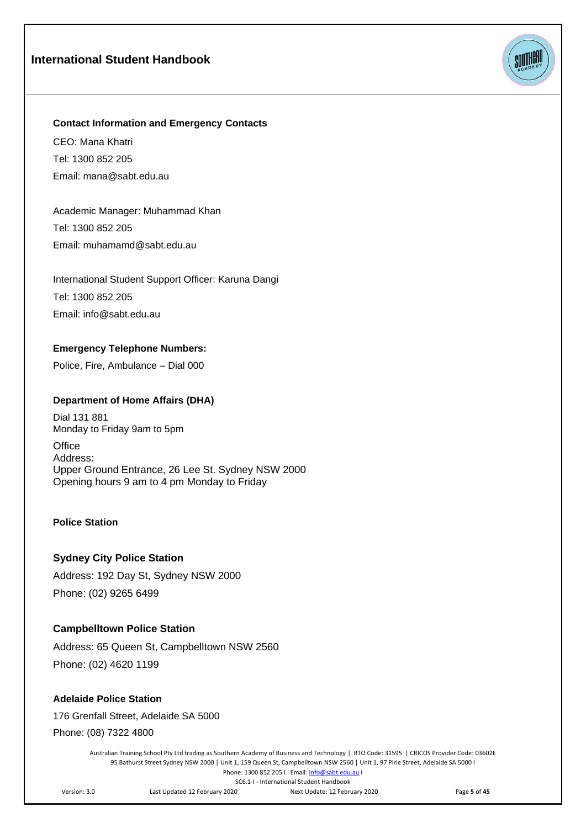

#### **Contact Information and Emergency Contacts**

CEO: Mana Khatri Tel: 1300 852 205 Email: mana@sabt.edu.au

Academic Manager: Muhammad Khan Tel: 1300 852 205 Email: muhamamd@sabt.edu.au

International Student Support Officer: Karuna Dangi Tel: 1300 852 205 Email: info@sabt.edu.au

#### **Emergency Telephone Numbers:**

Police, Fire, Ambulance – Dial 000

#### **Department of Home Affairs (DHA)**

Dial 131 881 Monday to Friday 9am to 5pm

**Office** Address: Upper Ground Entrance, 26 Lee St. Sydney NSW 2000 Opening hours 9 am to 4 pm Monday to Friday

#### **Police Station**

## **Sydney City Police Station**

Address: 192 Day St, Sydney NSW 2000 Phone: (02) 9265 6499

#### **Campbelltown Police Station**

Address: 65 Queen St, Campbelltown NSW 2560 Phone: (02) 4620 1199

#### **Adelaide Police Station**

176 Grenfall Street, Adelaide SA 5000

Phone: (08) 7322 4800

Australian Training School Pty Ltd trading as Southern Academy of Business and Technology | RTO Code: 31595 | CRICOS Provider Code: 03602E 95 Bathurst Street Sydney NSW 2000 | Unit 1, 159 Queen St, Campbelltown NSW 2560 | Unit 1, 97 Pirie Street, Adelaide SA 5000 I Phone: 1300 852 205 | Email[: info@sabt.edu.au](mailto:info@sabt.edu.au) | SC6.1-I - International Student Handbook Version: 3.0 Last Updated 12 February 2020 Next Update: 12 February 2020 Page **5** of **45**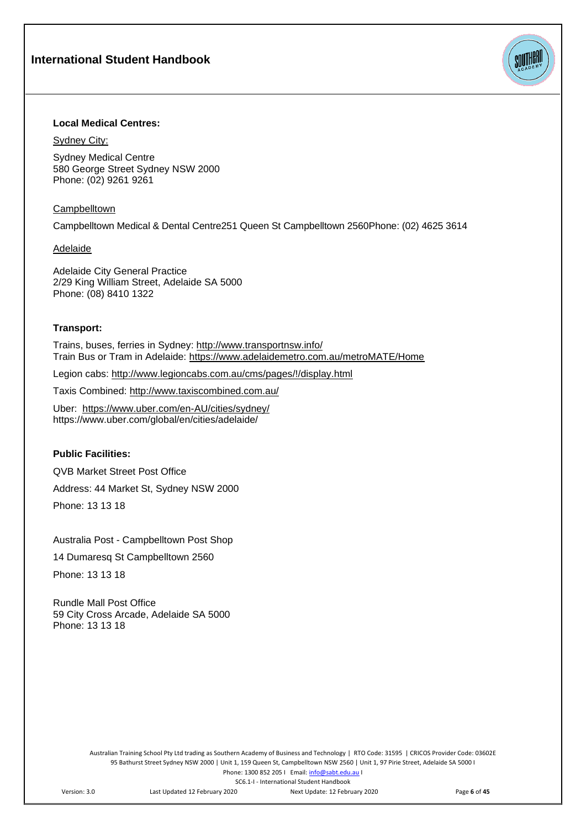

#### **Local Medical Centres:**

Sydney City:

Sydney Medical Centre 580 George Street Sydney NSW 2000 Phone: (02) 9261 9261

**Campbelltown** 

Campbelltown Medical & Dental Centre251 Queen St Campbelltown 2560Phone: (02) 4625 3614

**Adelaide** 

Adelaide City General Practice 2/29 King William Street, Adelaide SA 5000 Phone: (08) 8410 1322

#### **Transport:**

Trains, buses, ferries in Sydney:<http://www.transportnsw.info/> Train Bus or Tram in Adelaide:<https://www.adelaidemetro.com.au/metroMATE/Home>

Legion cabs:<http://www.legioncabs.com.au/cms/pages/!/display.html>

Taxis Combined:<http://www.taxiscombined.com.au/>

Uber: <https://www.uber.com/en-AU/cities/sydney/> <https://www.uber.com/global/en/cities/adelaide/>

#### **Public Facilities:**

QVB Market Street Post Office

Address: 44 Market St, Sydney NSW 2000

Phone: 13 13 18

Australia Post - Campbelltown Post Shop

14 Dumaresq St Campbelltown 2560

Phone: 13 13 18

Rundle Mall Post Office 59 City Cross Arcade, Adelaide SA 5000 Phone: 13 13 18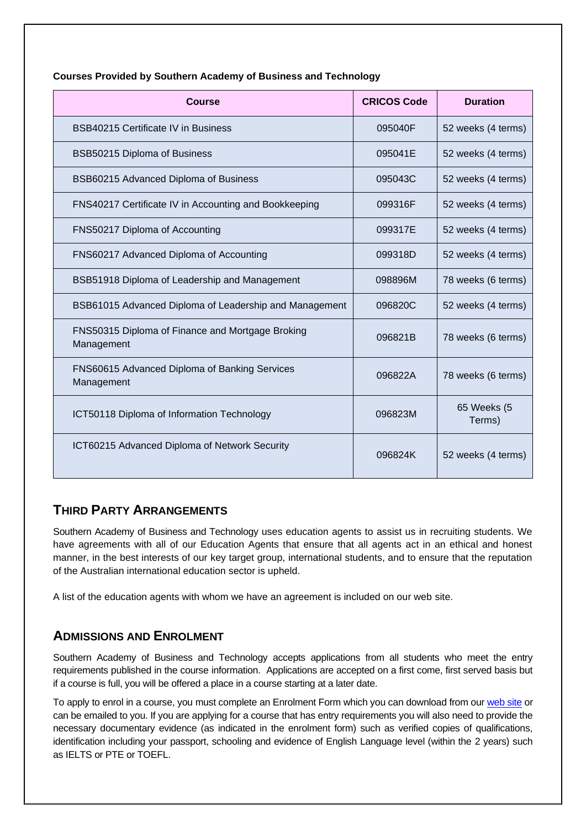| Course                                                         | <b>CRICOS Code</b> | <b>Duration</b>       |
|----------------------------------------------------------------|--------------------|-----------------------|
| <b>BSB40215 Certificate IV in Business</b>                     | 095040F            | 52 weeks (4 terms)    |
| BSB50215 Diploma of Business                                   | 095041E            | 52 weeks (4 terms)    |
| BSB60215 Advanced Diploma of Business                          | 095043C            | 52 weeks (4 terms)    |
| FNS40217 Certificate IV in Accounting and Bookkeeping          | 099316F            | 52 weeks (4 terms)    |
| FNS50217 Diploma of Accounting                                 | 099317E            | 52 weeks (4 terms)    |
| FNS60217 Advanced Diploma of Accounting                        | 099318D            | 52 weeks (4 terms)    |
| BSB51918 Diploma of Leadership and Management                  | 098896M            | 78 weeks (6 terms)    |
| BSB61015 Advanced Diploma of Leadership and Management         | 096820C            | 52 weeks (4 terms)    |
| FNS50315 Diploma of Finance and Mortgage Broking<br>Management | 096821B            | 78 weeks (6 terms)    |
| FNS60615 Advanced Diploma of Banking Services<br>Management    | 096822A            | 78 weeks (6 terms)    |
| ICT50118 Diploma of Information Technology                     | 096823M            | 65 Weeks (5<br>Terms) |
| ICT60215 Advanced Diploma of Network Security                  | 096824K            | 52 weeks (4 terms)    |

#### **Courses Provided by Southern Academy of Business and Technology**

## **THIRD PARTY ARRANGEMENTS**

Southern Academy of Business and Technology uses education agents to assist us in recruiting students. We have agreements with all of our Education Agents that ensure that all agents act in an ethical and honest manner, in the best interests of our key target group, international students, and to ensure that the reputation of the Australian international education sector is upheld.

A list of the education agents with whom we have an agreement is included on our web site.

## **ADMISSIONS AND ENROLMENT**

Southern Academy of Business and Technology accepts applications from all students who meet the entry requirements published in the course information. Applications are accepted on a first come, first served basis but if a course is full, you will be offered a place in a course starting at a later date.

To apply to enrol in a course, you must complete an Enrolment Form which you can download from our [web site](http://sabt.edu.au/download/#1497320775035-74ecfc14-936b) or can be emailed to you. If you are applying for a course that has entry requirements you will also need to provide the necessary documentary evidence (as indicated in the enrolment form) such as verified copies of qualifications, identification including your passport, schooling and evidence of English Language level (within the 2 years) such as IELTS or PTE or TOEFL.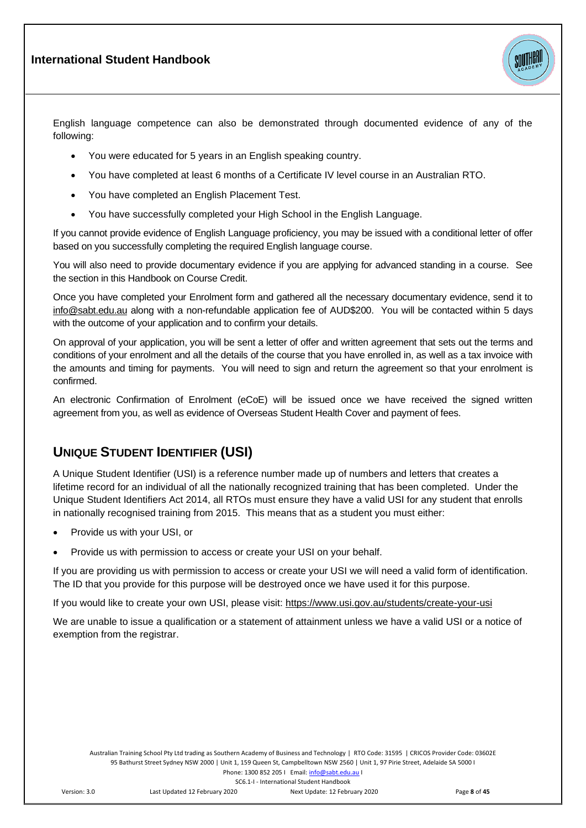

English language competence can also be demonstrated through documented evidence of any of the following:

- You were educated for 5 years in an English speaking country.
- You have completed at least 6 months of a Certificate IV level course in an Australian RTO.
- You have completed an English Placement Test.
- You have successfully completed your High School in the English Language.

If you cannot provide evidence of English Language proficiency, you may be issued with a conditional letter of offer based on you successfully completing the required English language course.

You will also need to provide documentary evidence if you are applying for advanced standing in a course. See the section in this Handbook on Course Credit.

Once you have completed your Enrolment form and gathered all the necessary documentary evidence, send it to [info@sabt.edu.au](mailto:info@sabt.edu.au) along with a non-refundable application fee of AUD\$200. You will be contacted within 5 days with the outcome of your application and to confirm your details.

On approval of your application, you will be sent a letter of offer and written agreement that sets out the terms and conditions of your enrolment and all the details of the course that you have enrolled in, as well as a tax invoice with the amounts and timing for payments. You will need to sign and return the agreement so that your enrolment is confirmed.

An electronic Confirmation of Enrolment (eCoE) will be issued once we have received the signed written agreement from you, as well as evidence of Overseas Student Health Cover and payment of fees.

# **UNIQUE STUDENT IDENTIFIER (USI)**

A Unique Student Identifier (USI) is a reference number made up of numbers and letters that creates a lifetime record for an individual of all the nationally recognized training that has been completed. Under the Unique Student Identifiers Act 2014, all RTOs must ensure they have a valid USI for any student that enrolls in nationally recognised training from 2015. This means that as a student you must either:

- Provide us with your USI, or
- Provide us with permission to access or create your USI on your behalf.

If you are providing us with permission to access or create your USI we will need a valid form of identification. The ID that you provide for this purpose will be destroyed once we have used it for this purpose.

If you would like to create your own USI, please visit:<https://www.usi.gov.au/students/create-your-usi>

We are unable to issue a qualification or a statement of attainment unless we have a valid USI or a notice of exemption from the registrar.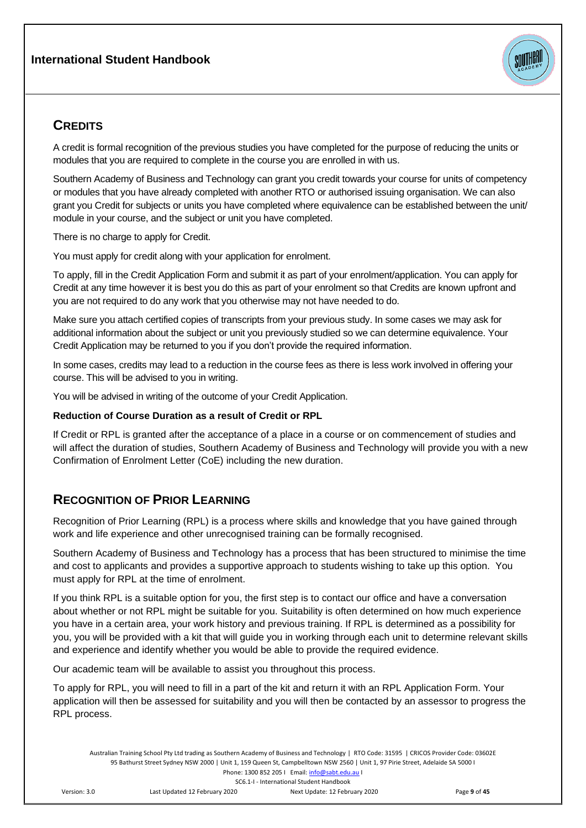

# **CREDITS**

A credit is formal recognition of the previous studies you have completed for the purpose of reducing the units or modules that you are required to complete in the course you are enrolled in with us.

Southern Academy of Business and Technology can grant you credit towards your course for units of competency or modules that you have already completed with another RTO or authorised issuing organisation. We can also grant you Credit for subjects or units you have completed where equivalence can be established between the unit/ module in your course, and the subject or unit you have completed.

There is no charge to apply for Credit.

You must apply for credit along with your application for enrolment.

To apply, fill in the Credit Application Form and submit it as part of your enrolment/application. You can apply for Credit at any time however it is best you do this as part of your enrolment so that Credits are known upfront and you are not required to do any work that you otherwise may not have needed to do.

Make sure you attach certified copies of transcripts from your previous study. In some cases we may ask for additional information about the subject or unit you previously studied so we can determine equivalence. Your Credit Application may be returned to you if you don't provide the required information.

In some cases, credits may lead to a reduction in the course fees as there is less work involved in offering your course. This will be advised to you in writing.

You will be advised in writing of the outcome of your Credit Application.

#### **Reduction of Course Duration as a result of Credit or RPL**

If Credit or RPL is granted after the acceptance of a place in a course or on commencement of studies and will affect the duration of studies, Southern Academy of Business and Technology will provide you with a new Confirmation of Enrolment Letter (CoE) including the new duration.

# **RECOGNITION OF PRIOR LEARNING**

Recognition of Prior Learning (RPL) is a process where skills and knowledge that you have gained through work and life experience and other unrecognised training can be formally recognised.

Southern Academy of Business and Technology has a process that has been structured to minimise the time and cost to applicants and provides a supportive approach to students wishing to take up this option. You must apply for RPL at the time of enrolment.

If you think RPL is a suitable option for you, the first step is to contact our office and have a conversation about whether or not RPL might be suitable for you. Suitability is often determined on how much experience you have in a certain area, your work history and previous training. If RPL is determined as a possibility for you, you will be provided with a kit that will guide you in working through each unit to determine relevant skills and experience and identify whether you would be able to provide the required evidence.

Our academic team will be available to assist you throughout this process.

To apply for RPL, you will need to fill in a part of the kit and return it with an RPL Application Form. Your application will then be assessed for suitability and you will then be contacted by an assessor to progress the RPL process.

Australian Training School Pty Ltd trading as Southern Academy of Business and Technology | RTO Code: 31595 | CRICOS Provider Code: 03602E 95 Bathurst Street Sydney NSW 2000 | Unit 1, 159 Queen St, Campbelltown NSW 2560 | Unit 1, 97 Pirie Street, Adelaide SA 5000 I Phone: 1300 852 205 | Email[: info@sabt.edu.au](mailto:info@sabt.edu.au) | SC6.1-I - International Student Handbook Version: 3.0 Last Updated 12 February 2020 Next Update: 12 February 2020 Page **9** of **45**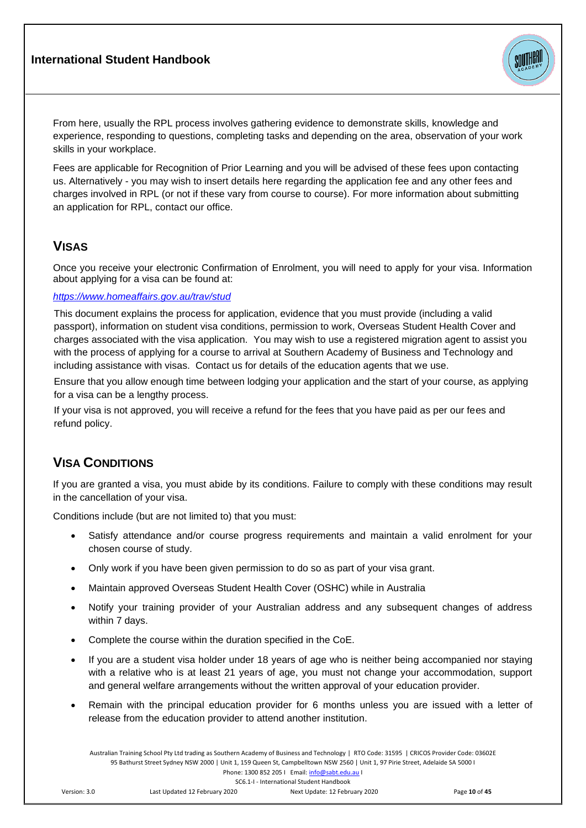

From here, usually the RPL process involves gathering evidence to demonstrate skills, knowledge and experience, responding to questions, completing tasks and depending on the area, observation of your work skills in your workplace.

Fees are applicable for Recognition of Prior Learning and you will be advised of these fees upon contacting us. Alternatively - you may wish to insert details here regarding the application fee and any other fees and charges involved in RPL (or not if these vary from course to course). For more information about submitting an application for RPL, conta*c*t our office.

# **VISAS**

Once you receive your electronic Confirmation of Enrolment, you will need to apply for your visa. Information about applying for a visa can be found at:

#### *<https://www.homeaffairs.gov.au/trav/stud>*

This document explains the process for application, evidence that you must provide (including a valid passport), information on student visa conditions, permission to work, Overseas Student Health Cover and charges associated with the visa application. You may wish to use a registered migration agent to assist you with the process of applying for a course to arrival at Southern Academy of Business and Technology and including assistance with visas. Contact us for details of the education agents that we use.

Ensure that you allow enough time between lodging your application and the start of your course, as applying for a visa can be a lengthy process.

If your visa is not approved, you will receive a refund for the fees that you have paid as per our fees and refund policy.

# **VISA CONDITIONS**

If you are granted a visa, you must abide by its conditions. Failure to comply with these conditions may result in the cancellation of your visa.

Conditions include (but are not limited to) that you must:

- Satisfy attendance and/or course progress requirements and maintain a valid enrolment for your chosen course of study.
- Only work if you have been given permission to do so as part of your visa grant.
- Maintain approved Overseas Student Health Cover (OSHC) while in Australia
- Notify your training provider of your Australian address and any subsequent changes of address within 7 days.
- Complete the course within the duration specified in the CoE.
- If you are a student visa holder under 18 years of age who is neither being accompanied nor staying with a relative who is at least 21 years of age, you must not change your accommodation, support and general welfare arrangements without the written approval of your education provider.
- Remain with the principal education provider for 6 months unless you are issued with a letter of release from the education provider to attend another institution.

Australian Training School Pty Ltd trading as Southern Academy of Business and Technology | RTO Code: 31595 | CRICOS Provider Code: 03602E 95 Bathurst Street Sydney NSW 2000 | Unit 1, 159 Queen St, Campbelltown NSW 2560 | Unit 1, 97 Pirie Street, Adelaide SA 5000 I Phone: 1300 852 205 | Email[: info@sabt.edu.au](mailto:info@sabt.edu.au) | SC6.1-I - International Student Handbook Version: 3.0 Last Updated 12 February 2020 Next Update: 12 February 2020 Page **10** of **45**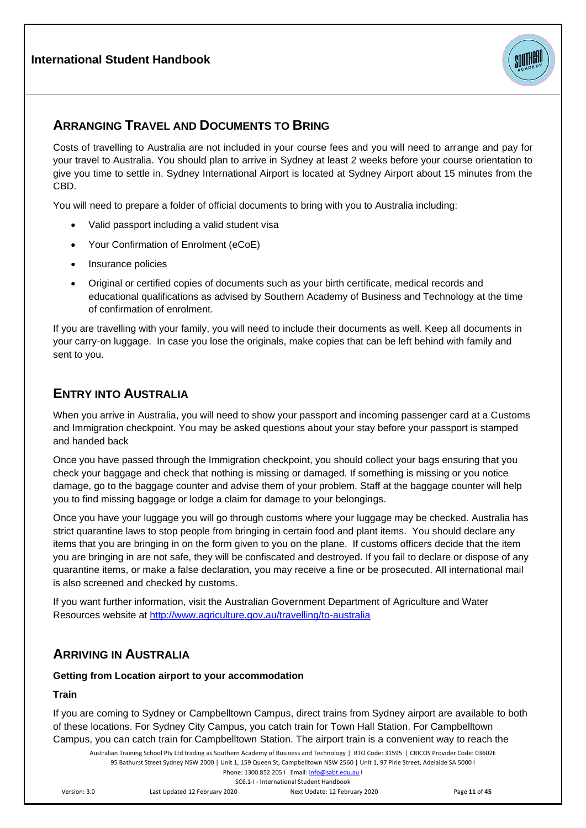

## **ARRANGING TRAVEL AND DOCUMENTS TO BRING**

Costs of travelling to Australia are not included in your course fees and you will need to arrange and pay for your travel to Australia. You should plan to arrive in Sydney at least 2 weeks before your course orientation to give you time to settle in. Sydney International Airport is located at Sydney Airport about 15 minutes from the CBD.

You will need to prepare a folder of official documents to bring with you to Australia including:

- Valid passport including a valid student visa
- Your Confirmation of Enrolment (eCoE)
- Insurance policies
- Original or certified copies of documents such as your birth certificate, medical records and educational qualifications as advised by Southern Academy of Business and Technology at the time of confirmation of enrolment.

If you are travelling with your family, you will need to include their documents as well. Keep all documents in your carry-on luggage. In case you lose the originals, make copies that can be left behind with family and sent to you.

## **ENTRY INTO AUSTRALIA**

When you arrive in Australia, you will need to show your passport and incoming passenger card at a Customs and Immigration checkpoint. You may be asked questions about your stay before your passport is stamped and handed back

Once you have passed through the Immigration checkpoint, you should collect your bags ensuring that you check your baggage and check that nothing is missing or damaged. If something is missing or you notice damage, go to the baggage counter and advise them of your problem. Staff at the baggage counter will help you to find missing baggage or lodge a claim for damage to your belongings.

Once you have your luggage you will go through customs where your luggage may be checked. Australia has strict quarantine laws to stop people from bringing in certain food and plant items. You should declare any items that you are bringing in on the form given to you on the plane. If customs officers decide that the item you are bringing in are not safe, they will be confiscated and destroyed. If you fail to declare or dispose of any quarantine items, or make a false declaration, you may receive a fine or be prosecuted. All international mail is also screened and checked by customs.

If you want further information, visit the Australian Government Department of Agriculture and Water Resources website at<http://www.agriculture.gov.au/travelling/to-australia>

## **ARRIVING IN AUSTRALIA**

#### **Getting from Location airport to your accommodation**

#### **Train**

If you are coming to Sydney or Campbelltown Campus, direct trains from Sydney airport are available to both of these locations. For Sydney City Campus, you catch train for Town Hall Station. For Campbelltown Campus, you can catch train for Campbelltown Station. The airport train is a convenient way to reach the

Australian Training School Pty Ltd trading as Southern Academy of Business and Technology | RTO Code: 31595 | CRICOS Provider Code: 03602E 95 Bathurst Street Sydney NSW 2000 | Unit 1, 159 Queen St, Campbelltown NSW 2560 | Unit 1, 97 Pirie Street, Adelaide SA 5000 I Phone: 1300 852 205 | Email[: info@sabt.edu.au](mailto:info@sabt.edu.au) I

SC6.1-I - International Student Handbook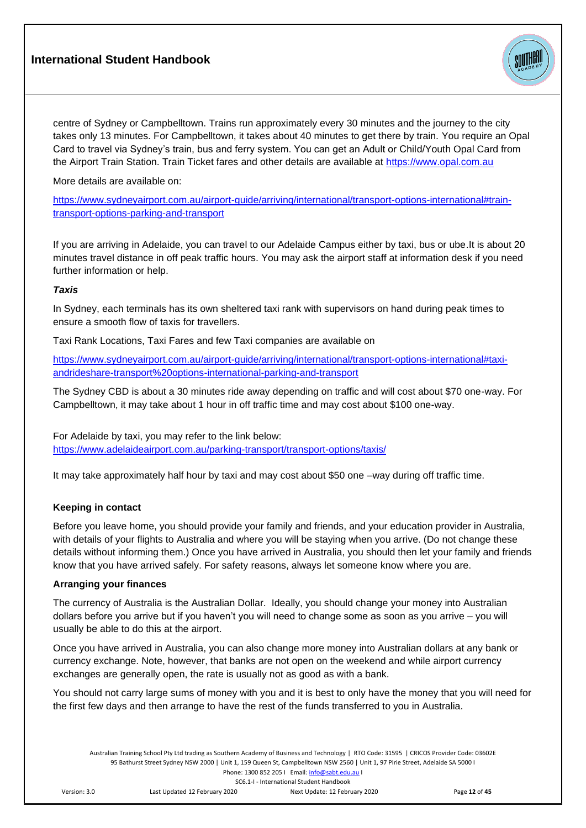

centre of Sydney or Campbelltown. Trains run approximately every 30 minutes and the journey to the city takes only 13 minutes. For Campbelltown, it takes about 40 minutes to get there by train. You require an Opal Card to travel via Sydney's train, bus and ferry system. You can get an Adult or Child/Youth Opal Card from the Airport Train Station. Train Ticket fares and other details are available at [https://www.opal.com.au](https://www.opal.com.au/)

More details are available on:

[https://www.sydneyairport.com.au/airport-guide/arriving/international/transport-options-international#train](https://www.sydneyairport.com.au/airport-guide/arriving/international/transport-options-international#train-transport-options-parking-and-transport)[transport-options-parking-and-transport](https://www.sydneyairport.com.au/airport-guide/arriving/international/transport-options-international#train-transport-options-parking-and-transport)

If you are arriving in Adelaide, you can travel to our Adelaide Campus either by taxi, bus or ube.It is about 20 minutes travel distance in off peak traffic hours. You may ask the airport staff at information desk if you need further information or help.

#### *Taxis*

In Sydney, each terminals has its own sheltered taxi rank with supervisors on hand during peak times to ensure a smooth flow of taxis for travellers.

Taxi Rank Locations, Taxi Fares and few Taxi companies are available on

[https://www.sydneyairport.com.au/airport-guide/arriving/international/transport-options-international#taxi](https://www.sydneyairport.com.au/airport-guide/arriving/international/transport-options-international%2523taxi-andrideshare-transport%20options-international-parking-and-transport)[andrideshare-transport%20options-international-parking-and-transport](https://www.sydneyairport.com.au/airport-guide/arriving/international/transport-options-international%2523taxi-andrideshare-transport%20options-international-parking-and-transport)

The Sydney CBD is about a 30 minutes ride away depending on traffic and will cost about \$70 one-way. For Campbelltown, it may take about 1 hour in off traffic time and may cost about \$100 one-way.

For Adelaide by taxi, you may refer to the link below: <https://www.adelaideairport.com.au/parking-transport/transport-options/taxis/>

It may take approximately half hour by taxi and may cost about \$50 one –way during off traffic time.

#### **Keeping in contact**

Before you leave home, you should provide your family and friends, and your education provider in Australia, with details of your flights to Australia and where you will be staying when you arrive. (Do not change these details without informing them.) Once you have arrived in Australia, you should then let your family and friends know that you have arrived safely. For safety reasons, always let someone know where you are.

#### **Arranging your finances**

The currency of Australia is the Australian Dollar. Ideally, you should change your money into Australian dollars before you arrive but if you haven't you will need to change some as soon as you arrive – you will usually be able to do this at the airport.

Once you have arrived in Australia, you can also change more money into Australian dollars at any bank or currency exchange. Note, however, that banks are not open on the weekend and while airport currency exchanges are generally open, the rate is usually not as good as with a bank.

You should not carry large sums of money with you and it is best to only have the money that you will need for the first few days and then arrange to have the rest of the funds transferred to you in Australia.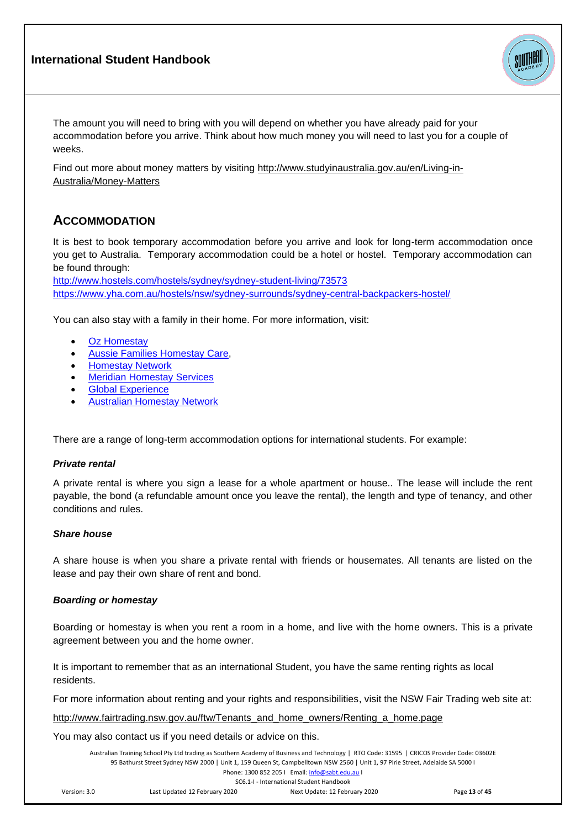The amount you will need to bring with you will depend on whether you have already paid for your accommodation before you arrive. Think about how much money you will need to last you for a couple of weeks.

Find out more about money matters by visiting [http://www.studyinaustralia.gov.au/en/Living-in-](http://www.studyinaustralia.gov.au/en/Living-in-Australia/Money-Matters)[Australia/Money-Matters](http://www.studyinaustralia.gov.au/en/Living-in-Australia/Money-Matters)

## **ACCOMMODATION**

It is best to book temporary accommodation before you arrive and look for long-term accommodation once you get to Australia. Temporary accommodation could be a hotel or hostel. Temporary accommodation can be found through:

<http://www.hostels.com/hostels/sydney/sydney-student-living/73573> <https://www.yha.com.au/hostels/nsw/sydney-surrounds/sydney-central-backpackers-hostel/>

You can also stay with a family in their home. For more information, visit:

- **Oz Homestav**
- [Aussie Families Homestay Care,](http://auzziefamilies.com/)
- [Homestay Network](http://homestaynetwork.com.au/)
- **[Meridian Homestay Services](http://www.meridianhomestay.com/)**
- [Global Experience](http://www.globalexperience.com.au/)
- **[Australian Homestay Network](http://www.homestaynetwork.org/)**

There are a range of long-term accommodation options for international students. For example:

#### *Private rental*

A private rental is where you sign a lease for a whole apartment or house.. The lease will include the rent payable, the bond (a refundable amount once you leave the rental), the length and type of tenancy, and other conditions and rules.

#### *Share house*

A share house is when you share a private rental with friends or housemates. All tenants are listed on the lease and pay their own share of rent and bond.

#### *Boarding or homestay*

Boarding or homestay is when you rent a room in a home, and live with the home owners. This is a private agreement between you and the home owner.

It is important to remember that as an international Student, you have the same renting rights as local residents.

For more information about renting and your rights and responsibilities, visit the NSW Fair Trading web site at:

[http://www.fairtrading.nsw.gov.au/ftw/Tenants\\_and\\_home\\_owners/Renting\\_a\\_home.page](http://www.fairtrading.nsw.gov.au/ftw/Tenants_and_home_owners/Renting_a_home.page)

You may also contact us if you need details or advice on this.

Australian Training School Pty Ltd trading as Southern Academy of Business and Technology | RTO Code: 31595 | CRICOS Provider Code: 03602E 95 Bathurst Street Sydney NSW 2000 | Unit 1, 159 Queen St, Campbelltown NSW 2560 | Unit 1, 97 Pirie Street, Adelaide SA 5000 I Phone: 1300 852 205 | Email[: info@sabt.edu.au](mailto:info@sabt.edu.au) I SC6.1-I - International Student Handbook Version: 3.0 Last Updated 12 February 2020 Next Update: 12 February 2020 Page **13** of **45**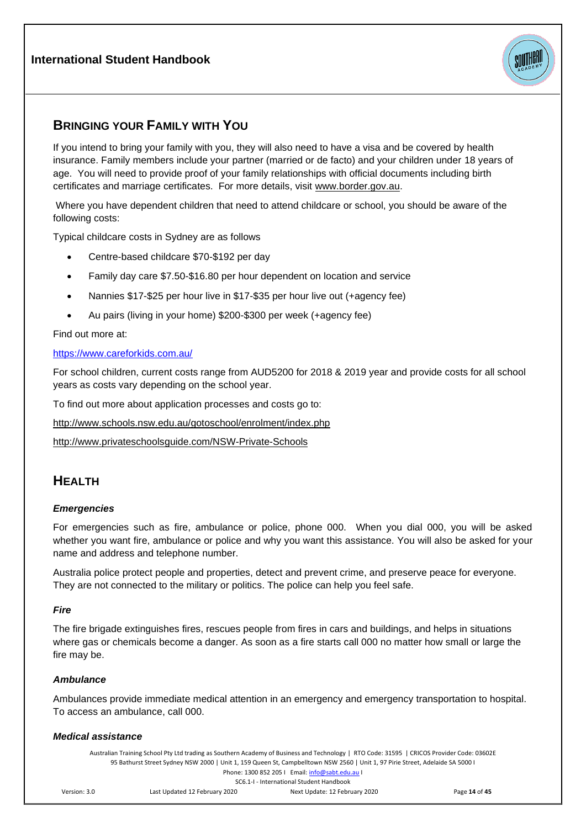

## **BRINGING YOUR FAMILY WITH YOU**

If you intend to bring your family with you, they will also need to have a visa and be covered by health insurance. Family members include your partner (married or de facto) and your children under 18 years of age. You will need to provide proof of your family relationships with official documents including birth certificates and marriage certificates. For more details, visit [www.border.gov.au.](http://www.border.gov.au/)

Where you have dependent children that need to attend childcare or school, you should be aware of the following costs:

Typical childcare costs in Sydney are as follows

- Centre-based childcare \$70-\$192 per day
- Family day care \$7.50-\$16.80 per hour dependent on location and service
- Nannies \$17-\$25 per hour live in \$17-\$35 per hour live out (+agency fee)
- Au pairs (living in your home) \$200-\$300 per week (+agency fee)

Find out more at:

#### [https://www.careforkids.com.au/](https://www.careforkids.com.au/child-care-articles/article/77/how-much-does-child-care-cost)

For school children, current costs range from AUD5200 for 2018 & 2019 year and provide costs for all school years as costs vary depending on the school year.

To find out more about application processes and costs go to:

<http://www.schools.nsw.edu.au/gotoschool/enrolment/index.php>

<http://www.privateschoolsguide.com/NSW-Private-Schools>

## **HEALTH**

#### *Emergencies*

For emergencies such as fire, ambulance or police, phone 000. When you dial 000, you will be asked whether you want fire, ambulance or police and why you want this assistance. You will also be asked for your name and address and telephone number.

Australia police protect people and properties, detect and prevent crime, and preserve peace for everyone. They are not connected to the military or politics. The police can help you feel safe.

#### *Fire*

The fire brigade extinguishes fires, rescues people from fires in cars and buildings, and helps in situations where gas or chemicals become a danger. As soon as a fire starts call 000 no matter how small or large the fire may be.

#### *Ambulance*

Ambulances provide immediate medical attention in an emergency and emergency transportation to hospital. To access an ambulance, call 000.

#### *Medical assistance*

Australian Training School Pty Ltd trading as Southern Academy of Business and Technology | RTO Code: 31595 | CRICOS Provider Code: 03602E 95 Bathurst Street Sydney NSW 2000 | Unit 1, 159 Queen St, Campbelltown NSW 2560 | Unit 1, 97 Pirie Street, Adelaide SA 5000 I Phone: 1300 852 205 | Email[: info@sabt.edu.au](mailto:info@sabt.edu.au) | SC6.1-I - International Student Handbook Version: 3.0 Last Updated 12 February 2020 Next Update: 12 February 2020 Page **14** of **45**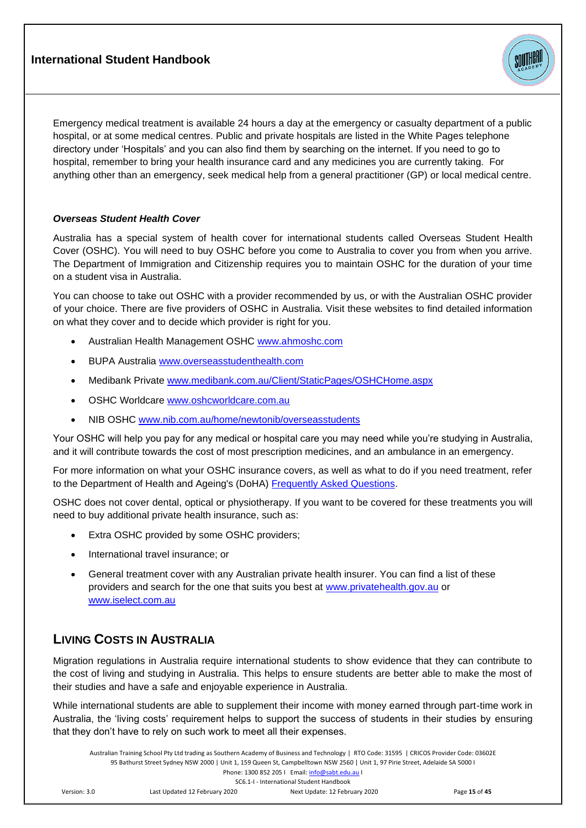

Emergency medical treatment is available 24 hours a day at the emergency or casualty department of a public hospital, or at some medical centres. Public and private hospitals are listed in the White Pages telephone directory under 'Hospitals' and you can also find them by searching on the internet. If you need to go to hospital, remember to bring your health insurance card and any medicines you are currently taking. For anything other than an emergency, seek medical help from a general practitioner (GP) or local medical centre.

#### *Overseas Student Health Cover*

Australia has a special system of health cover for international students called Overseas Student Health Cover (OSHC). You will need to buy OSHC before you come to Australia to cover you from when you arrive. The Department of Immigration and Citizenship requires you to maintain OSHC for the duration of your time on a student visa in Australia.

You can choose to take out OSHC with a provider recommended by us, or with the Australian OSHC provider of your choice. There are five providers of OSHC in Australia. Visit these websites to find detailed information on what they cover and to decide which provider is right for you.

- Australian Health Management OSHC [www.ahmoshc.com](http://www.ahmoshc.com/)
- BUPA Australia [www.overseasstudenthealth.com](http://www.overseasstudenthealth.com/)
- Medibank Private [www.medibank.com.au/Client/StaticPages/OSHCHome.aspx](http://www.medibank.com.au/Client/StaticPages/OSHCHome.aspx)
- OSHC Worldcare [www.oshcworldcare.com.au](http://www.oshcworldcare.com.au/)
- NIB OSHC [www.nib.com.au/home/newtonib/overseasstudents](http://www.nib.com.au/home/newtonib/overseasstudents)

Your OSHC will help you pay for any medical or hospital care you may need while you're studying in Australia, and it will contribute towards the cost of most prescription medicines, and an ambulance in an emergency.

For more information on what your OSHC insurance covers, as well as what to do if you need treatment, refer to the Department of Health and Ageing's (DoHA) [Frequently Asked Questions.](http://www.health.gov.au/internet/main/Publishing.nsf/Content/Overseas+Student+Health+Cover+FAQ-1#oshccover)

OSHC does not cover dental, optical or physiotherapy. If you want to be covered for these treatments you will need to buy additional private health insurance, such as:

- Extra OSHC provided by some OSHC providers:
- International travel insurance; or
- General treatment cover with any Australian private health insurer. You can find a list of these providers and search for the one that suits you best at [www.privatehealth.gov.au](http://www.privatehealth.gov.au/) or [www.iselect.com.au](http://www.iselect.com.au/)

# **LIVING COSTS IN AUSTRALIA**

Migration regulations in Australia require international students to show evidence that they can contribute to the cost of living and studying in Australia. This helps to ensure students are better able to make the most of their studies and have a safe and enjoyable experience in Australia.

While international students are able to supplement their income with money earned through part-time work in Australia, the 'living costs' requirement helps to support the success of students in their studies by ensuring that they don't have to rely on such work to meet all their expenses.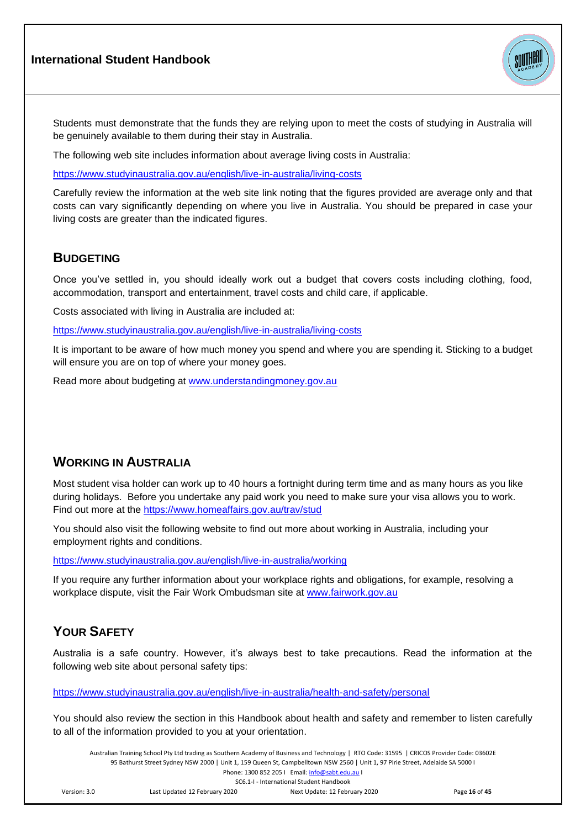

Students must demonstrate that the funds they are relying upon to meet the costs of studying in Australia will be genuinely available to them during their stay in Australia.

The following web site includes information about average living costs in Australia:

<https://www.studyinaustralia.gov.au/english/live-in-australia/living-costs>

Carefully review the information at the web site link noting that the figures provided are average only and that costs can vary significantly depending on where you live in Australia. You should be prepared in case your living costs are greater than the indicated figures.

## **BUDGETING**

Once you've settled in, you should ideally work out a budget that covers costs including clothing, food, accommodation, transport and entertainment, travel costs and child care, if applicable.

Costs associated with living in Australia are included at:

<https://www.studyinaustralia.gov.au/english/live-in-australia/living-costs>

It is important to be aware of how much money you spend and where you are spending it. Sticking to a budget will ensure you are on top of where your money goes.

Read more about budgeting at [www.understandingmoney.gov.au](http://www.understandingmoney.gov.au/)

# **WORKING IN AUSTRALIA**

Most student visa holder can work up to 40 hours a fortnight during term time and as many hours as you like during holidays. Before you undertake any paid work you need to make sure your visa allows you to work. Find out more at the<https://www.homeaffairs.gov.au/trav/stud>

You should also visit the following website to find out more about working in Australia, including your employment rights and conditions.

<https://www.studyinaustralia.gov.au/english/live-in-australia/working>

If you require any further information about your workplace rights and obligations, for example, resolving a workplace dispute, visit the Fair Work Ombudsman site at [www.fairwork.gov.au](http://www.fairwork.gov.au/)

# **YOUR SAFETY**

Australia is a safe country. However, it's always best to take precautions. Read the information at the following web site about personal safety tips:

<https://www.studyinaustralia.gov.au/english/live-in-australia/health-and-safety/personal>

You should also review the section in this Handbook about health and safety and remember to listen carefully to all of the information provided to you at your orientation.

Australian Training School Pty Ltd trading as Southern Academy of Business and Technology | RTO Code: 31595 | CRICOS Provider Code: 03602E 95 Bathurst Street Sydney NSW 2000 | Unit 1, 159 Queen St, Campbelltown NSW 2560 | Unit 1, 97 Pirie Street, Adelaide SA 5000 I Phone: 1300 852 205 | Email[: info@sabt.edu.au](mailto:info@sabt.edu.au) | SC6.1-I - International Student Handbook Version: 3.0 Last Updated 12 February 2020 Next Update: 12 February 2020 Page **16** of **45**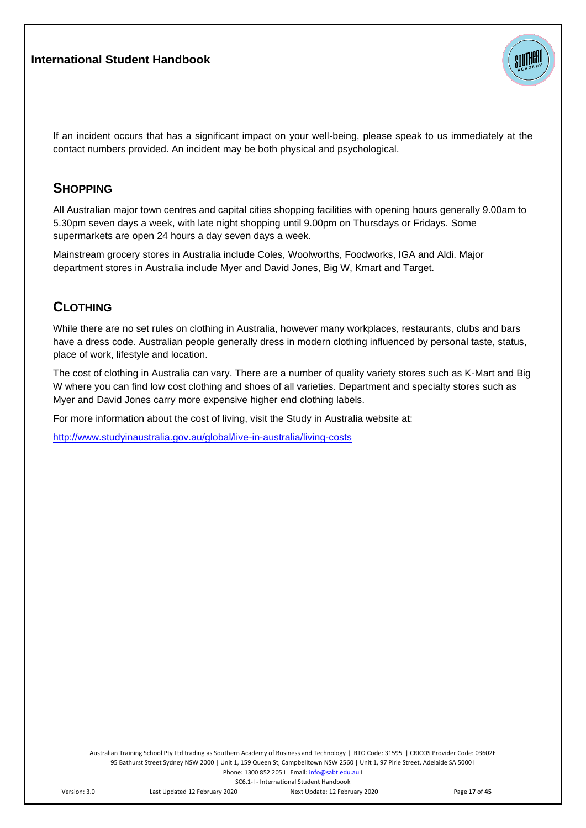

If an incident occurs that has a significant impact on your well-being, please speak to us immediately at the contact numbers provided. An incident may be both physical and psychological.

## **SHOPPING**

All Australian major town centres and capital cities shopping facilities with opening hours generally 9.00am to 5.30pm seven days a week, with late night shopping until 9.00pm on Thursdays or Fridays. Some supermarkets are open 24 hours a day seven days a week.

Mainstream grocery stores in Australia include Coles, Woolworths, Foodworks, IGA and Aldi. Major department stores in Australia include Myer and David Jones, Big W, Kmart and Target.

# **CLOTHING**

While there are no set rules on clothing in Australia, however many workplaces, restaurants, clubs and bars have a dress code. Australian people generally dress in modern clothing influenced by personal taste, status, place of work, lifestyle and location.

The cost of clothing in Australia can vary. There are a number of quality variety stores such as K-Mart and Big W where you can find low cost clothing and shoes of all varieties. Department and specialty stores such as Myer and David Jones carry more expensive higher end clothing labels.

For more information about the cost of living, visit the Study in Australia website at:

<http://www.studyinaustralia.gov.au/global/live-in-australia/living-costs>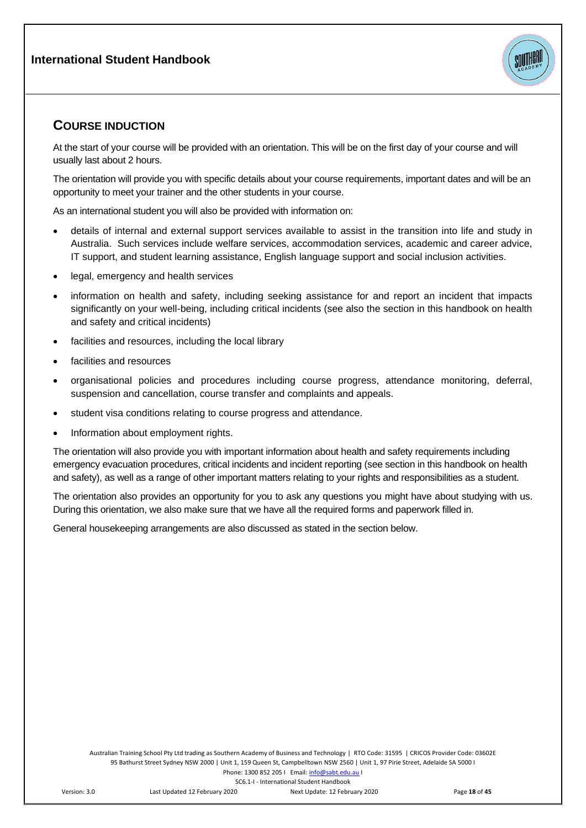

## **COURSE INDUCTION**

At the start of your course will be provided with an orientation. This will be on the first day of your course and will usually last about 2 hours.

The orientation will provide you with specific details about your course requirements, important dates and will be an opportunity to meet your trainer and the other students in your course.

As an international student you will also be provided with information on:

- details of internal and external support services available to assist in the transition into life and study in Australia. Such services include welfare services, accommodation services, academic and career advice, IT support, and student learning assistance, English language support and social inclusion activities.
- legal, emergency and health services
- information on health and safety, including seeking assistance for and report an incident that impacts significantly on your well-being, including critical incidents (see also the section in this handbook on health and safety and critical incidents)
- facilities and resources, including the local library
- facilities and resources
- organisational policies and procedures including course progress, attendance monitoring, deferral, suspension and cancellation, course transfer and complaints and appeals.
- student visa conditions relating to course progress and attendance.
- Information about employment rights.

The orientation will also provide you with important information about health and safety requirements including emergency evacuation procedures, critical incidents and incident reporting (see section in this handbook on health and safety), as well as a range of other important matters relating to your rights and responsibilities as a student.

The orientation also provides an opportunity for you to ask any questions you might have about studying with us. During this orientation, we also make sure that we have all the required forms and paperwork filled in.

General housekeeping arrangements are also discussed as stated in the section below.

Australian Training School Pty Ltd trading as Southern Academy of Business and Technology | RTO Code: 31595 | CRICOS Provider Code: 03602E 95 Bathurst Street Sydney NSW 2000 | Unit 1, 159 Queen St, Campbelltown NSW 2560 | Unit 1, 97 Pirie Street, Adelaide SA 5000 I Phone: 1300 852 205 | Email[: info@sabt.edu.au](mailto:info@sabt.edu.au) I SC6.1-I - International Student Handbook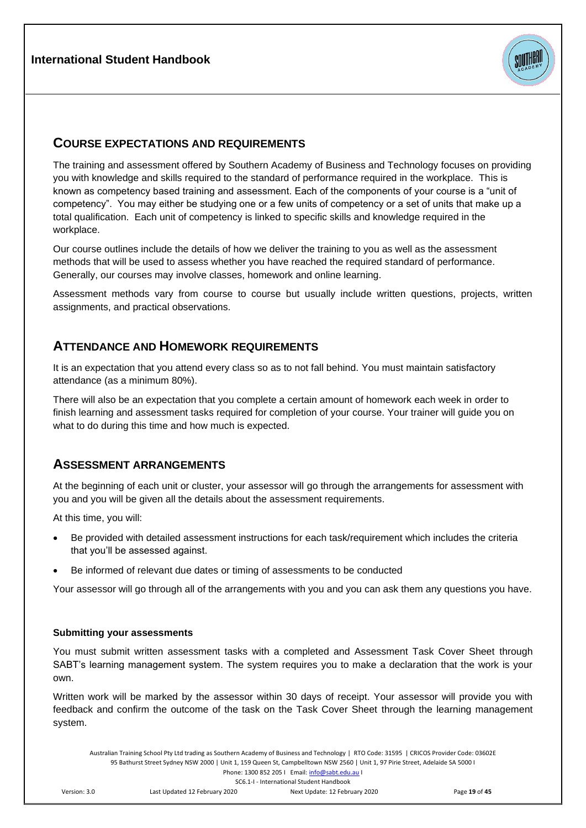

## **COURSE EXPECTATIONS AND REQUIREMENTS**

The training and assessment offered by Southern Academy of Business and Technology focuses on providing you with knowledge and skills required to the standard of performance required in the workplace. This is known as competency based training and assessment. Each of the components of your course is a "unit of competency". You may either be studying one or a few units of competency or a set of units that make up a total qualification. Each unit of competency is linked to specific skills and knowledge required in the workplace.

Our course outlines include the details of how we deliver the training to you as well as the assessment methods that will be used to assess whether you have reached the required standard of performance. Generally, our courses may involve classes, homework and online learning.

Assessment methods vary from course to course but usually include written questions, projects, written assignments, and practical observations.

## **ATTENDANCE AND HOMEWORK REQUIREMENTS**

It is an expectation that you attend every class so as to not fall behind. You must maintain satisfactory attendance (as a minimum 80%).

There will also be an expectation that you complete a certain amount of homework each week in order to finish learning and assessment tasks required for completion of your course. Your trainer will guide you on what to do during this time and how much is expected.

## **ASSESSMENT ARRANGEMENTS**

At the beginning of each unit or cluster, your assessor will go through the arrangements for assessment with you and you will be given all the details about the assessment requirements.

At this time, you will:

- Be provided with detailed assessment instructions for each task/requirement which includes the criteria that you'll be assessed against.
- Be informed of relevant due dates or timing of assessments to be conducted

Your assessor will go through all of the arrangements with you and you can ask them any questions you have.

#### **Submitting your assessments**

You must submit written assessment tasks with a completed and Assessment Task Cover Sheet through SABT's learning management system. The system requires you to make a declaration that the work is your own.

Written work will be marked by the assessor within 30 days of receipt. Your assessor will provide you with feedback and confirm the outcome of the task on the Task Cover Sheet through the learning management system.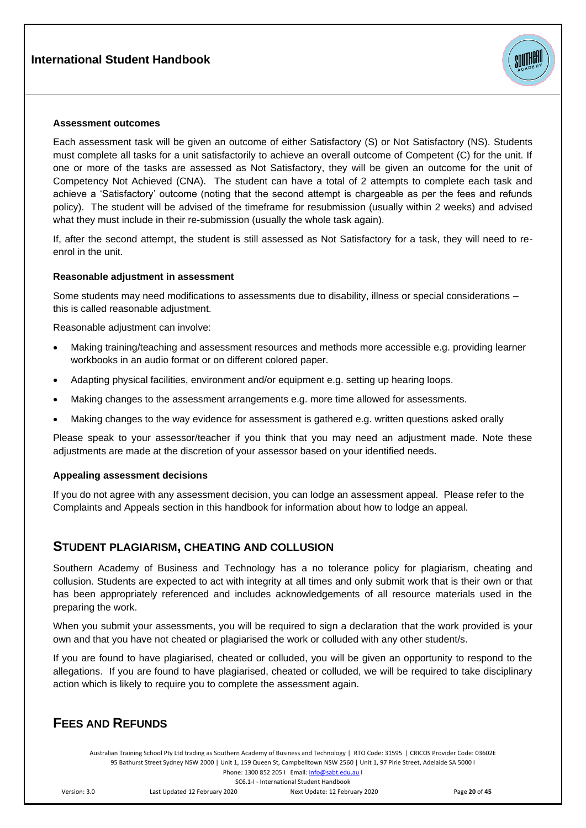

#### **Assessment outcomes**

Each assessment task will be given an outcome of either Satisfactory (S) or Not Satisfactory (NS). Students must complete all tasks for a unit satisfactorily to achieve an overall outcome of Competent (C) for the unit. If one or more of the tasks are assessed as Not Satisfactory, they will be given an outcome for the unit of Competency Not Achieved (CNA). The student can have a total of 2 attempts to complete each task and achieve a 'Satisfactory' outcome (noting that the second attempt is chargeable as per the fees and refunds policy). The student will be advised of the timeframe for resubmission (usually within 2 weeks) and advised what they must include in their re-submission (usually the whole task again).

If, after the second attempt, the student is still assessed as Not Satisfactory for a task, they will need to reenrol in the unit.

#### **Reasonable adjustment in assessment**

Some students may need modifications to assessments due to disability, illness or special considerations this is called reasonable adjustment.

Reasonable adjustment can involve:

- Making training/teaching and assessment resources and methods more accessible e.g. providing learner workbooks in an audio format or on different colored paper.
- Adapting physical facilities, environment and/or equipment e.g. setting up hearing loops.
- Making changes to the assessment arrangements e.g. more time allowed for assessments.
- Making changes to the way evidence for assessment is gathered e.g. written questions asked orally

Please speak to your assessor/teacher if you think that you may need an adjustment made. Note these adjustments are made at the discretion of your assessor based on your identified needs.

#### **Appealing assessment decisions**

If you do not agree with any assessment decision, you can lodge an assessment appeal. Please refer to the Complaints and Appeals section in this handbook for information about how to lodge an appeal.

#### **STUDENT PLAGIARISM, CHEATING AND COLLUSION**

Southern Academy of Business and Technology has a no tolerance policy for plagiarism, cheating and collusion. Students are expected to act with integrity at all times and only submit work that is their own or that has been appropriately referenced and includes acknowledgements of all resource materials used in the preparing the work.

When you submit your assessments, you will be required to sign a declaration that the work provided is your own and that you have not cheated or plagiarised the work or colluded with any other student/s.

If you are found to have plagiarised, cheated or colluded, you will be given an opportunity to respond to the allegations. If you are found to have plagiarised, cheated or colluded, we will be required to take disciplinary action which is likely to require you to complete the assessment again.

# **FEES AND REFUNDS**

Australian Training School Pty Ltd trading as Southern Academy of Business and Technology | RTO Code: 31595 | CRICOS Provider Code: 03602E 95 Bathurst Street Sydney NSW 2000 | Unit 1, 159 Queen St, Campbelltown NSW 2560 | Unit 1, 97 Pirie Street, Adelaide SA 5000 I Phone: 1300 852 205 | Email[: info@sabt.edu.au](mailto:info@sabt.edu.au) | SC6.1-I - International Student Handbook Version: 3.0 Last Updated 12 February 2020 Next Update: 12 February 2020 Page **20** of **45**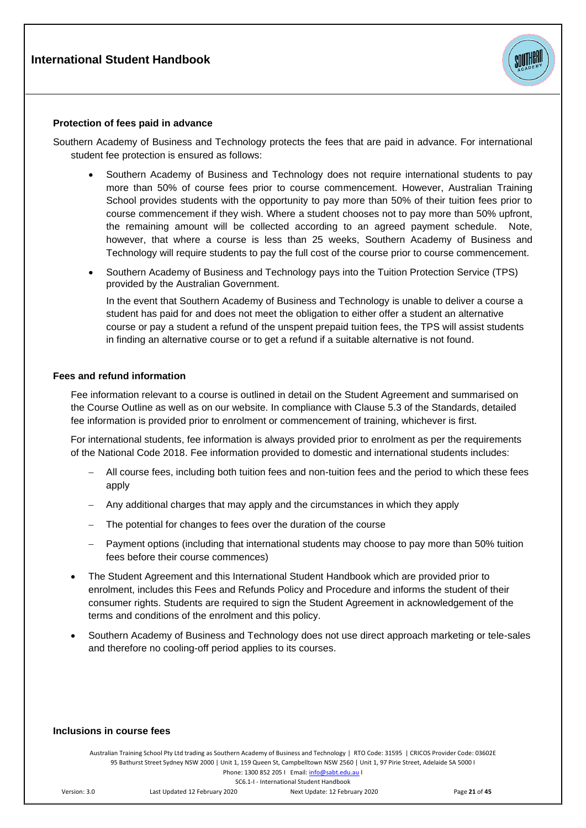

#### **Protection of fees paid in advance**

Southern Academy of Business and Technology protects the fees that are paid in advance. For international student fee protection is ensured as follows:

- Southern Academy of Business and Technology does not require international students to pay more than 50% of course fees prior to course commencement. However, Australian Training School provides students with the opportunity to pay more than 50% of their tuition fees prior to course commencement if they wish. Where a student chooses not to pay more than 50% upfront, the remaining amount will be collected according to an agreed payment schedule. Note, however, that where a course is less than 25 weeks, Southern Academy of Business and Technology will require students to pay the full cost of the course prior to course commencement.
- Southern Academy of Business and Technology pays into the Tuition Protection Service (TPS) provided by the Australian Government.

In the event that Southern Academy of Business and Technology is unable to deliver a course a student has paid for and does not meet the obligation to either offer a student an alternative course or pay a student a refund of the unspent prepaid tuition fees, the TPS will assist students in finding an alternative course or to get a refund if a suitable alternative is not found.

#### **Fees and refund information**

Fee information relevant to a course is outlined in detail on the Student Agreement and summarised on the Course Outline as well as on our website. In compliance with Clause 5.3 of the Standards, detailed fee information is provided prior to enrolment or commencement of training, whichever is first.

For international students, fee information is always provided prior to enrolment as per the requirements of the National Code 2018. Fee information provided to domestic and international students includes:

- − All course fees, including both tuition fees and non-tuition fees and the period to which these fees apply
- − Any additional charges that may apply and the circumstances in which they apply
- The potential for changes to fees over the duration of the course
- Payment options (including that international students may choose to pay more than 50% tuition fees before their course commences)
- The Student Agreement and this International Student Handbook which are provided prior to enrolment, includes this Fees and Refunds Policy and Procedure and informs the student of their consumer rights. Students are required to sign the Student Agreement in acknowledgement of the terms and conditions of the enrolment and this policy.
- Southern Academy of Business and Technology does not use direct approach marketing or tele-sales and therefore no cooling-off period applies to its courses.

#### **Inclusions in course fees**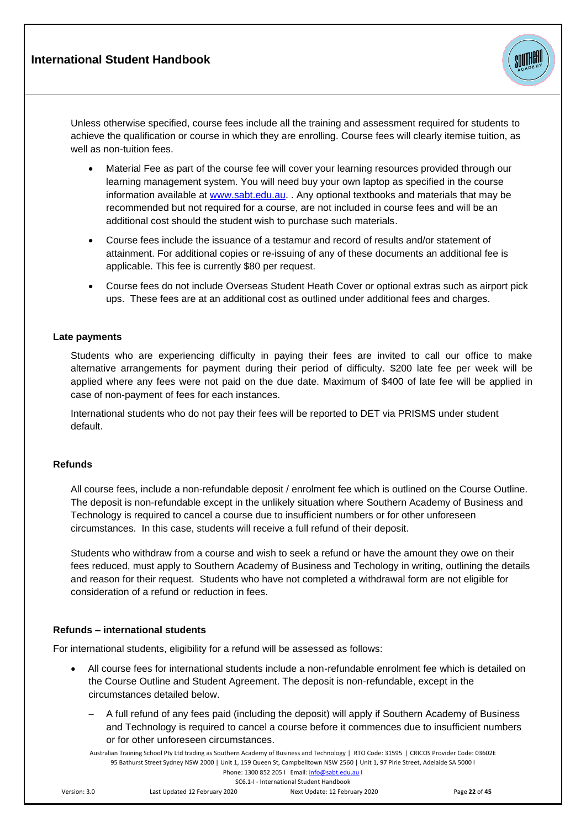

Unless otherwise specified, course fees include all the training and assessment required for students to achieve the qualification or course in which they are enrolling. Course fees will clearly itemise tuition, as well as non-tuition fees.

- Material Fee as part of the course fee will cover your learning resources provided through our learning management system. You will need buy your own laptop as specified in the course information available at [www.sabt.edu.au.](http://www.sabt.edu.au/) . Any optional textbooks and materials that may be recommended but not required for a course, are not included in course fees and will be an additional cost should the student wish to purchase such materials.
- Course fees include the issuance of a testamur and record of results and/or statement of attainment. For additional copies or re-issuing of any of these documents an additional fee is applicable. This fee is currently \$80 per request.
- Course fees do not include Overseas Student Heath Cover or optional extras such as airport pick ups. These fees are at an additional cost as outlined under additional fees and charges.

#### **Late payments**

Students who are experiencing difficulty in paying their fees are invited to call our office to make alternative arrangements for payment during their period of difficulty. \$200 late fee per week will be applied where any fees were not paid on the due date. Maximum of \$400 of late fee will be applied in case of non-payment of fees for each instances.

International students who do not pay their fees will be reported to DET via PRISMS under student default.

#### **Refunds**

All course fees, include a non-refundable deposit / enrolment fee which is outlined on the Course Outline. The deposit is non-refundable except in the unlikely situation where Southern Academy of Business and Technology is required to cancel a course due to insufficient numbers or for other unforeseen circumstances. In this case, students will receive a full refund of their deposit.

Students who withdraw from a course and wish to seek a refund or have the amount they owe on their fees reduced, must apply to Southern Academy of Business and Techology in writing, outlining the details and reason for their request. Students who have not completed a withdrawal form are not eligible for consideration of a refund or reduction in fees.

#### **Refunds – international students**

For international students, eligibility for a refund will be assessed as follows:

- All course fees for international students include a non-refundable enrolment fee which is detailed on the Course Outline and Student Agreement. The deposit is non-refundable, except in the circumstances detailed below.
	- − A full refund of any fees paid (including the deposit) will apply if Southern Academy of Business and Technology is required to cancel a course before it commences due to insufficient numbers or for other unforeseen circumstances.

Australian Training School Pty Ltd trading as Southern Academy of Business and Technology | RTO Code: 31595 | CRICOS Provider Code: 03602E 95 Bathurst Street Sydney NSW 2000 | Unit 1, 159 Queen St, Campbelltown NSW 2560 | Unit 1, 97 Pirie Street, Adelaide SA 5000 I Phone: 1300 852 205 | Email[: info@sabt.edu.au](mailto:info@sabt.edu.au) | SC6.1-I - International Student Handbook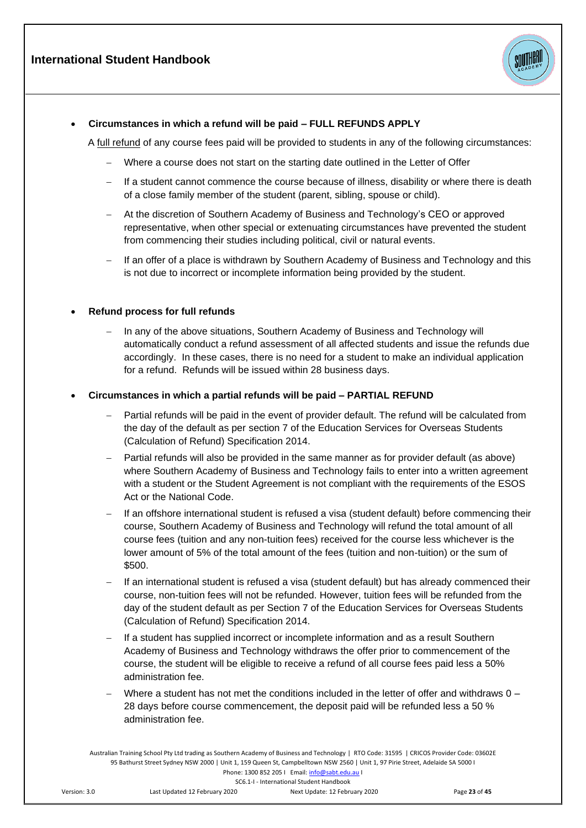

#### • **Circumstances in which a refund will be paid – FULL REFUNDS APPLY**

A full refund of any course fees paid will be provided to students in any of the following circumstances:

- Where a course does not start on the starting date outlined in the Letter of Offer
- − If a student cannot commence the course because of illness, disability or where there is death of a close family member of the student (parent, sibling, spouse or child).
- − At the discretion of Southern Academy of Business and Technology's CEO or approved representative, when other special or extenuating circumstances have prevented the student from commencing their studies including political, civil or natural events.
- If an offer of a place is withdrawn by Southern Academy of Business and Technology and this is not due to incorrect or incomplete information being provided by the student.

#### • **Refund process for full refunds**

− In any of the above situations, Southern Academy of Business and Technology will automatically conduct a refund assessment of all affected students and issue the refunds due accordingly. In these cases, there is no need for a student to make an individual application for a refund. Refunds will be issued within 28 business days.

#### • **Circumstances in which a partial refunds will be paid – PARTIAL REFUND**

- Partial refunds will be paid in the event of provider default. The refund will be calculated from the day of the default as per section 7 of the Education Services for Overseas Students (Calculation of Refund) Specification 2014.
- − Partial refunds will also be provided in the same manner as for provider default (as above) where Southern Academy of Business and Technology fails to enter into a written agreement with a student or the Student Agreement is not compliant with the requirements of the ESOS Act or the National Code.
- − If an offshore international student is refused a visa (student default) before commencing their course, Southern Academy of Business and Technology will refund the total amount of all course fees (tuition and any non-tuition fees) received for the course less whichever is the lower amount of 5% of the total amount of the fees (tuition and non-tuition) or the sum of \$500.
- − If an international student is refused a visa (student default) but has already commenced their course, non-tuition fees will not be refunded. However, tuition fees will be refunded from the day of the student default as per Section 7 of the Education Services for Overseas Students (Calculation of Refund) Specification 2014.
- − If a student has supplied incorrect or incomplete information and as a result Southern Academy of Business and Technology withdraws the offer prior to commencement of the course, the student will be eligible to receive a refund of all course fees paid less a 50% administration fee.
- Where a student has not met the conditions included in the letter of offer and withdraws  $0 -$ 28 days before course commencement, the deposit paid will be refunded less a 50 % administration fee.

Australian Training School Pty Ltd trading as Southern Academy of Business and Technology | RTO Code: 31595 | CRICOS Provider Code: 03602E 95 Bathurst Street Sydney NSW 2000 | Unit 1, 159 Queen St, Campbelltown NSW 2560 | Unit 1, 97 Pirie Street, Adelaide SA 5000 I Phone: 1300 852 205 | Email[: info@sabt.edu.au](mailto:info@sabt.edu.au) | SC6.1-I - International Student Handbook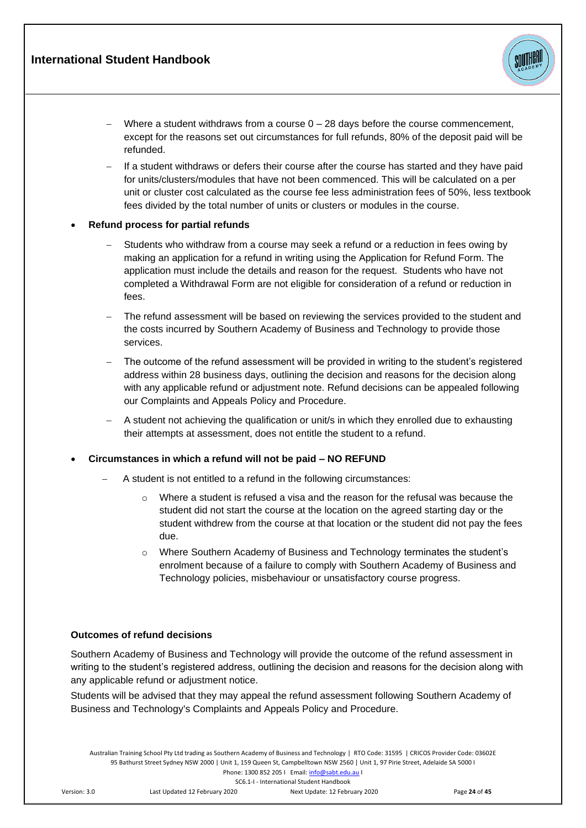

- Where a student withdraws from a course  $0 28$  days before the course commencement, except for the reasons set out circumstances for full refunds, 80% of the deposit paid will be refunded.
- If a student withdraws or defers their course after the course has started and they have paid for units/clusters/modules that have not been commenced. This will be calculated on a per unit or cluster cost calculated as the course fee less administration fees of 50%, less textbook fees divided by the total number of units or clusters or modules in the course.

#### • **Refund process for partial refunds**

- Students who withdraw from a course may seek a refund or a reduction in fees owing by making an application for a refund in writing using the Application for Refund Form. The application must include the details and reason for the request. Students who have not completed a Withdrawal Form are not eligible for consideration of a refund or reduction in fees.
- The refund assessment will be based on reviewing the services provided to the student and the costs incurred by Southern Academy of Business and Technology to provide those services.
- The outcome of the refund assessment will be provided in writing to the student's registered address within 28 business days, outlining the decision and reasons for the decision along with any applicable refund or adjustment note. Refund decisions can be appealed following our Complaints and Appeals Policy and Procedure.
- A student not achieving the qualification or unit/s in which they enrolled due to exhausting their attempts at assessment, does not entitle the student to a refund.

#### • **Circumstances in which a refund will not be paid – NO REFUND**

- A student is not entitled to a refund in the following circumstances:
	- o Where a student is refused a visa and the reason for the refusal was because the student did not start the course at the location on the agreed starting day or the student withdrew from the course at that location or the student did not pay the fees due.
	- o Where Southern Academy of Business and Technology terminates the student's enrolment because of a failure to comply with Southern Academy of Business and Technology policies, misbehaviour or unsatisfactory course progress.

#### **Outcomes of refund decisions**

Southern Academy of Business and Technology will provide the outcome of the refund assessment in writing to the student's registered address, outlining the decision and reasons for the decision along with any applicable refund or adjustment notice.

Students will be advised that they may appeal the refund assessment following Southern Academy of Business and Technology's Complaints and Appeals Policy and Procedure.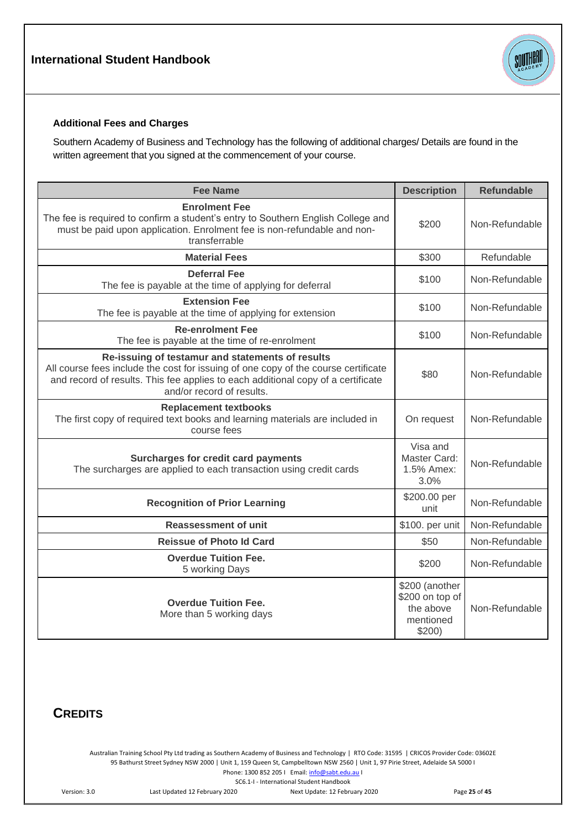

#### **Additional Fees and Charges**

Southern Academy of Business and Technology has the following of additional charges/ Details are found in the written agreement that you signed at the commencement of your course.

| <b>Fee Name</b>                                                                                                                                                                                                                                         | <b>Description</b>                                                    | <b>Refundable</b> |
|---------------------------------------------------------------------------------------------------------------------------------------------------------------------------------------------------------------------------------------------------------|-----------------------------------------------------------------------|-------------------|
| <b>Enrolment Fee</b><br>The fee is required to confirm a student's entry to Southern English College and<br>must be paid upon application. Enrolment fee is non-refundable and non-<br>transferrable                                                    | \$200                                                                 | Non-Refundable    |
| <b>Material Fees</b>                                                                                                                                                                                                                                    | \$300                                                                 | Refundable        |
| <b>Deferral Fee</b><br>The fee is payable at the time of applying for deferral                                                                                                                                                                          | \$100                                                                 | Non-Refundable    |
| <b>Extension Fee</b><br>The fee is payable at the time of applying for extension                                                                                                                                                                        | \$100                                                                 | Non-Refundable    |
| <b>Re-enrolment Fee</b><br>The fee is payable at the time of re-enrolment                                                                                                                                                                               | \$100                                                                 | Non-Refundable    |
| Re-issuing of testamur and statements of results<br>All course fees include the cost for issuing of one copy of the course certificate<br>and record of results. This fee applies to each additional copy of a certificate<br>and/or record of results. | \$80                                                                  | Non-Refundable    |
| <b>Replacement textbooks</b><br>The first copy of required text books and learning materials are included in<br>course fees                                                                                                                             | On request                                                            | Non-Refundable    |
| <b>Surcharges for credit card payments</b><br>The surcharges are applied to each transaction using credit cards                                                                                                                                         | Visa and<br>Master Card:<br>1.5% Amex:<br>3.0%                        | Non-Refundable    |
| <b>Recognition of Prior Learning</b>                                                                                                                                                                                                                    | \$200.00 per<br>unit                                                  | Non-Refundable    |
| <b>Reassessment of unit</b>                                                                                                                                                                                                                             | \$100. per unit                                                       | Non-Refundable    |
| <b>Reissue of Photo Id Card</b>                                                                                                                                                                                                                         | \$50                                                                  | Non-Refundable    |
| <b>Overdue Tuition Fee.</b><br>5 working Days                                                                                                                                                                                                           | \$200                                                                 | Non-Refundable    |
| <b>Overdue Tuition Fee.</b><br>More than 5 working days                                                                                                                                                                                                 | \$200 (another<br>\$200 on top of<br>the above<br>mentioned<br>\$200) | Non-Refundable    |

# **CREDITS**

Australian Training School Pty Ltd trading as Southern Academy of Business and Technology | RTO Code: 31595 | CRICOS Provider Code: 03602E 95 Bathurst Street Sydney NSW 2000 | Unit 1, 159 Queen St, Campbelltown NSW 2560 | Unit 1, 97 Pirie Street, Adelaide SA 5000 I Phone: 1300 852 205 | Email[: info@sabt.edu.au](mailto:info@sabt.edu.au) | SC6.1-I - International Student Handbook

Version: 3.0 Last Updated 12 February 2020 Next Update: 12 February 2020 Page **25** of **45**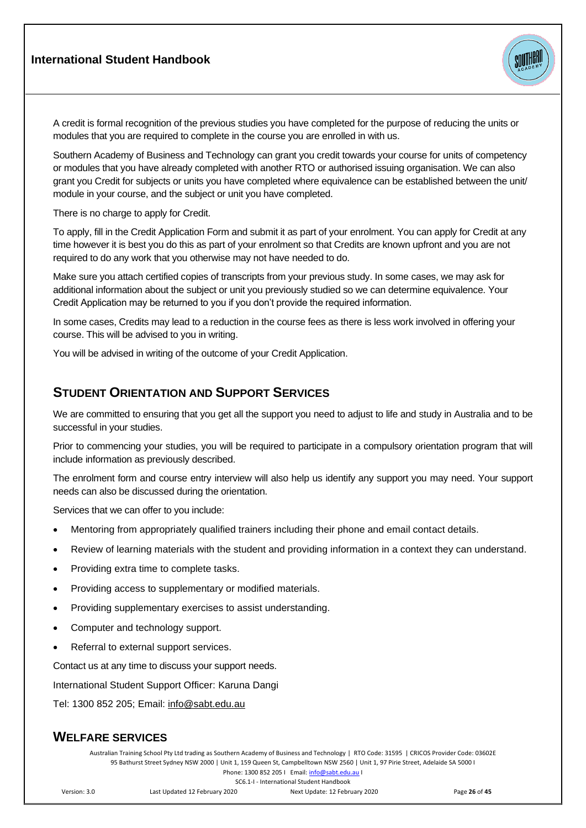

A credit is formal recognition of the previous studies you have completed for the purpose of reducing the units or modules that you are required to complete in the course you are enrolled in with us.

Southern Academy of Business and Technology can grant you credit towards your course for units of competency or modules that you have already completed with another RTO or authorised issuing organisation. We can also grant you Credit for subjects or units you have completed where equivalence can be established between the unit/ module in your course, and the subject or unit you have completed.

There is no charge to apply for Credit.

To apply, fill in the Credit Application Form and submit it as part of your enrolment. You can apply for Credit at any time however it is best you do this as part of your enrolment so that Credits are known upfront and you are not required to do any work that you otherwise may not have needed to do.

Make sure you attach certified copies of transcripts from your previous study. In some cases, we may ask for additional information about the subject or unit you previously studied so we can determine equivalence. Your Credit Application may be returned to you if you don't provide the required information.

In some cases, Credits may lead to a reduction in the course fees as there is less work involved in offering your course. This will be advised to you in writing.

You will be advised in writing of the outcome of your Credit Application.

## **STUDENT ORIENTATION AND SUPPORT SERVICES**

We are committed to ensuring that you get all the support you need to adjust to life and study in Australia and to be successful in your studies.

Prior to commencing your studies, you will be required to participate in a compulsory orientation program that will include information as previously described.

The enrolment form and course entry interview will also help us identify any support you may need. Your support needs can also be discussed during the orientation.

Services that we can offer to you include:

- Mentoring from appropriately qualified trainers including their phone and email contact details.
- Review of learning materials with the student and providing information in a context they can understand.
- Providing extra time to complete tasks.
- Providing access to supplementary or modified materials.
- Providing supplementary exercises to assist understanding.
- Computer and technology support.
- Referral to external support services.

Contact us at any time to discuss your support needs.

International Student Support Officer: Karuna Dangi

Tel: 1300 852 205; Email: [info@sabt.edu.au](mailto:info@sabt.edu.au) 

#### **WELFARE SERVICES**

Australian Training School Pty Ltd trading as Southern Academy of Business and Technology | RTO Code: 31595 | CRICOS Provider Code: 03602E 95 Bathurst Street Sydney NSW 2000 | Unit 1, 159 Queen St, Campbelltown NSW 2560 | Unit 1, 97 Pirie Street, Adelaide SA 5000 I Phone: 1300 852 205 | Email[: info@sabt.edu.au](mailto:info@sabt.edu.au) | SC6.1-I - International Student Handbook Version: 3.0 Last Updated 12 February 2020 Next Update: 12 February 2020 Page **26** of **45**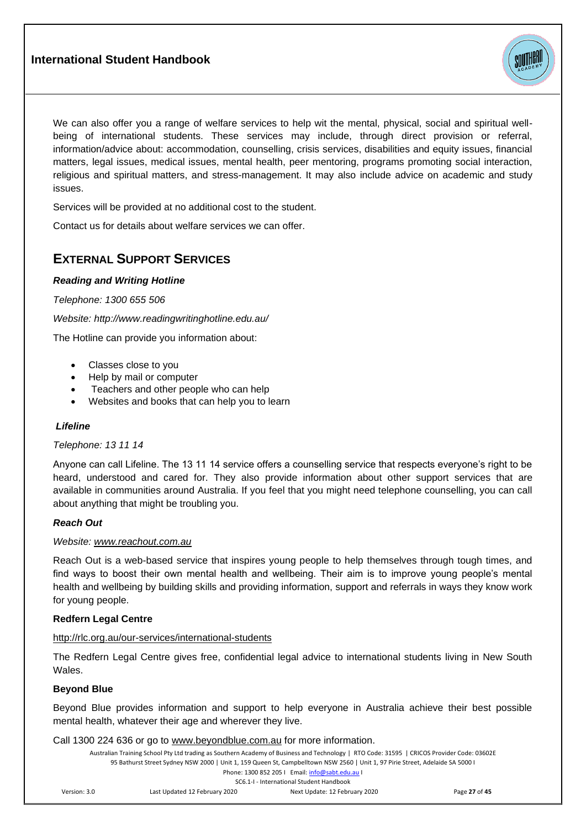

We can also offer you a range of welfare services to help wit the mental, physical, social and spiritual wellbeing of international students. These services may include, through direct provision or referral, information/advice about: accommodation, counselling, crisis services, disabilities and equity issues, financial matters, legal issues, medical issues, mental health, peer mentoring, programs promoting social interaction, religious and spiritual matters, and stress-management. It may also include advice on academic and study issues.

Services will be provided at no additional cost to the student.

Contact us for details about welfare services we can offer.

# **EXTERNAL SUPPORT SERVICES**

#### *Reading and Writing Hotline*

*Telephone: 1300 655 506* 

*Website: http://www.readingwritinghotline.edu.au/*

The Hotline can provide you information about:

- Classes close to you
- Help by mail or computer
- Teachers and other people who can help
- Websites and books that can help you to learn

#### *Lifeline*

#### *Telephone: 13 11 14*

Anyone can call Lifeline. The 13 11 14 service offers a counselling service that respects everyone's right to be heard, understood and cared for. They also provide information about other support services that are available in communities around Australia. If you feel that you might need telephone counselling, you can call about anything that might be troubling you.

#### *Reach Out*

#### *Website: [www.reachout.com.au](http://www.reachout.com.au/)*

Reach Out is a web-based service that inspires young people to help themselves through tough times, and find ways to boost their own mental health and wellbeing. Their aim is to improve young people's mental health and wellbeing by building skills and providing information, support and referrals in ways they know work for young people.

#### **Redfern Legal Centre**

#### <http://rlc.org.au/our-services/international-students>

The Redfern Legal Centre gives free, confidential legal advice to international students living in New South Wales.

#### **Beyond Blue**

Beyond Blue provides information and support to help everyone in Australia achieve their best possible mental health, whatever their age and wherever they live.

#### Call 1300 224 636 or go to [www.beyondblue.com.au](http://www.beyondblue.com.au/) for more information.

Australian Training School Pty Ltd trading as Southern Academy of Business and Technology | RTO Code: 31595 | CRICOS Provider Code: 03602E 95 Bathurst Street Sydney NSW 2000 | Unit 1, 159 Queen St, Campbelltown NSW 2560 | Unit 1, 97 Pirie Street, Adelaide SA 5000 I Phone: 1300 852 205 | Email[: info@sabt.edu.au](mailto:info@sabt.edu.au) | SC6.1-I - International Student Handbook Version: 3.0 Last Updated 12 February 2020 Next Update: 12 February 2020 Page **27** of **45**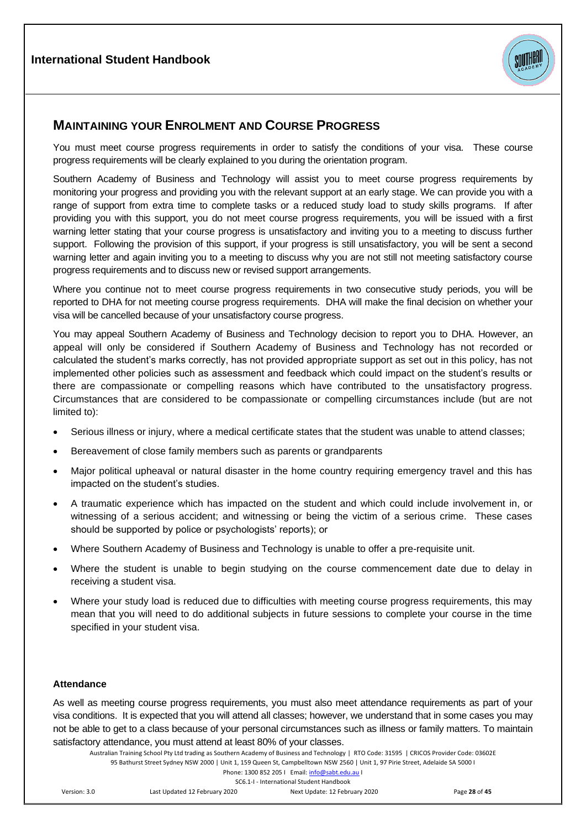

## **MAINTAINING YOUR ENROLMENT AND COURSE PROGRESS**

You must meet course progress requirements in order to satisfy the conditions of your visa. These course progress requirements will be clearly explained to you during the orientation program.

Southern Academy of Business and Technology will assist you to meet course progress requirements by monitoring your progress and providing you with the relevant support at an early stage. We can provide you with a range of support from extra time to complete tasks or a reduced study load to study skills programs. If after providing you with this support, you do not meet course progress requirements, you will be issued with a first warning letter stating that your course progress is unsatisfactory and inviting you to a meeting to discuss further support. Following the provision of this support, if your progress is still unsatisfactory, you will be sent a second warning letter and again inviting you to a meeting to discuss why you are not still not meeting satisfactory course progress requirements and to discuss new or revised support arrangements.

Where you continue not to meet course progress requirements in two consecutive study periods, you will be reported to DHA for not meeting course progress requirements. DHA will make the final decision on whether your visa will be cancelled because of your unsatisfactory course progress.

You may appeal Southern Academy of Business and Technology decision to report you to DHA. However, an appeal will only be considered if Southern Academy of Business and Technology has not recorded or calculated the student's marks correctly, has not provided appropriate support as set out in this policy, has not implemented other policies such as assessment and feedback which could impact on the student's results or there are compassionate or compelling reasons which have contributed to the unsatisfactory progress. Circumstances that are considered to be compassionate or compelling circumstances include (but are not limited to):

- Serious illness or injury, where a medical certificate states that the student was unable to attend classes;
- Bereavement of close family members such as parents or grandparents
- Major political upheaval or natural disaster in the home country requiring emergency travel and this has impacted on the student's studies.
- A traumatic experience which has impacted on the student and which could include involvement in, or witnessing of a serious accident; and witnessing or being the victim of a serious crime. These cases should be supported by police or psychologists' reports); or
- Where Southern Academy of Business and Technology is unable to offer a pre-requisite unit.
- Where the student is unable to begin studying on the course commencement date due to delay in receiving a student visa.
- Where your study load is reduced due to difficulties with meeting course progress requirements, this may mean that you will need to do additional subjects in future sessions to complete your course in the time specified in your student visa.

#### **Attendance**

As well as meeting course progress requirements, you must also meet attendance requirements as part of your visa conditions. It is expected that you will attend all classes; however, we understand that in some cases you may not be able to get to a class because of your personal circumstances such as illness or family matters. To maintain satisfactory attendance, you must attend at least 80% of your classes.

Australian Training School Pty Ltd trading as Southern Academy of Business and Technology | RTO Code: 31595 | CRICOS Provider Code: 03602E 95 Bathurst Street Sydney NSW 2000 | Unit 1, 159 Queen St, Campbelltown NSW 2560 | Unit 1, 97 Pirie Street, Adelaide SA 5000 I Phone: 1300 852 205 | Email[: info@sabt.edu.au](mailto:info@sabt.edu.au) | SC6.1-I - International Student Handbook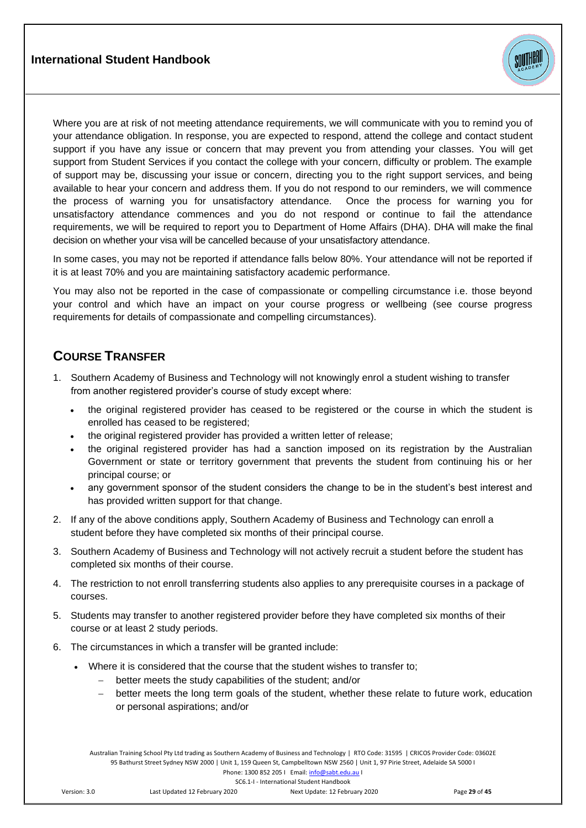

Where you are at risk of not meeting attendance requirements, we will communicate with you to remind you of your attendance obligation. In response, you are expected to respond, attend the college and contact student support if you have any issue or concern that may prevent you from attending your classes. You will get support from Student Services if you contact the college with your concern, difficulty or problem. The example of support may be, discussing your issue or concern, directing you to the right support services, and being available to hear your concern and address them. If you do not respond to our reminders, we will commence the process of warning you for unsatisfactory attendance. Once the process for warning you for unsatisfactory attendance commences and you do not respond or continue to fail the attendance requirements, we will be required to report you to Department of Home Affairs (DHA). DHA will make the final decision on whether your visa will be cancelled because of your unsatisfactory attendance.

In some cases, you may not be reported if attendance falls below 80%. Your attendance will not be reported if it is at least 70% and you are maintaining satisfactory academic performance.

You may also not be reported in the case of compassionate or compelling circumstance i.e. those beyond your control and which have an impact on your course progress or wellbeing (see course progress requirements for details of compassionate and compelling circumstances).

## **COURSE TRANSFER**

- 1. Southern Academy of Business and Technology will not knowingly enrol a student wishing to transfer from another registered provider's course of study except where:
	- the original registered provider has ceased to be registered or the course in which the student is enrolled has ceased to be registered;
	- the original registered provider has provided a written letter of release;
	- the original registered provider has had a sanction imposed on its registration by the Australian Government or state or territory government that prevents the student from continuing his or her principal course; or
	- any government sponsor of the student considers the change to be in the student's best interest and has provided written support for that change.
- 2. If any of the above conditions apply, Southern Academy of Business and Technology can enroll a student before they have completed six months of their principal course.
- 3. Southern Academy of Business and Technology will not actively recruit a student before the student has completed six months of their course.
- 4. The restriction to not enroll transferring students also applies to any prerequisite courses in a package of courses.
- 5. Students may transfer to another registered provider before they have completed six months of their course or at least 2 study periods.
- 6. The circumstances in which a transfer will be granted include:
	- Where it is considered that the course that the student wishes to transfer to;
		- − better meets the study capabilities of the student; and/or
		- better meets the long term goals of the student, whether these relate to future work, education or personal aspirations; and/or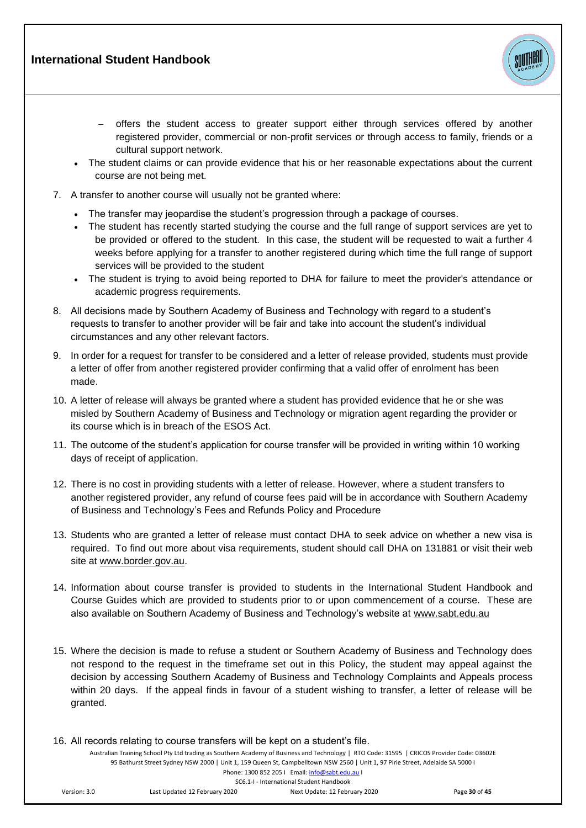

- − offers the student access to greater support either through services offered by another registered provider, commercial or non-profit services or through access to family, friends or a cultural support network.
- The student claims or can provide evidence that his or her reasonable expectations about the current course are not being met.
- 7. A transfer to another course will usually not be granted where:
	- The transfer may jeopardise the student's progression through a package of courses.
	- The student has recently started studying the course and the full range of support services are yet to be provided or offered to the student. In this case, the student will be requested to wait a further 4 weeks before applying for a transfer to another registered during which time the full range of support services will be provided to the student
	- The student is trying to avoid being reported to DHA for failure to meet the provider's attendance or academic progress requirements.
- 8. All decisions made by Southern Academy of Business and Technology with regard to a student's requests to transfer to another provider will be fair and take into account the student's individual circumstances and any other relevant factors.
- 9. In order for a request for transfer to be considered and a letter of release provided, students must provide a letter of offer from another registered provider confirming that a valid offer of enrolment has been made.
- 10. A letter of release will always be granted where a student has provided evidence that he or she was misled by Southern Academy of Business and Technology or migration agent regarding the provider or its course which is in breach of the ESOS Act.
- 11. The outcome of the student's application for course transfer will be provided in writing within 10 working days of receipt of application.
- 12. There is no cost in providing students with a letter of release. However, where a student transfers to another registered provider, any refund of course fees paid will be in accordance with Southern Academy of Business and Technology's Fees and Refunds Policy and Procedure
- 13. Students who are granted a letter of release must contact DHA to seek advice on whether a new visa is required. To find out more about visa requirements, student should call DHA on 131881 or visit their web site at [www.border.gov.au.](http://www.border.gov.au/)
- 14. Information about course transfer is provided to students in the International Student Handbook and Course Guides which are provided to students prior to or upon commencement of a course. These are also available on Southern Academy of Business and Technology's website at [www.sabt.edu.au](http://www.sabt.edu.au/)
- 15. Where the decision is made to refuse a student or Southern Academy of Business and Technology does not respond to the request in the timeframe set out in this Policy, the student may appeal against the decision by accessing Southern Academy of Business and Technology Complaints and Appeals process within 20 days. If the appeal finds in favour of a student wishing to transfer, a letter of release will be granted.
- Australian Training School Pty Ltd trading as Southern Academy of Business and Technology | RTO Code: 31595 | CRICOS Provider Code: 03602E 95 Bathurst Street Sydney NSW 2000 | Unit 1, 159 Queen St, Campbelltown NSW 2560 | Unit 1, 97 Pirie Street, Adelaide SA 5000 I Phone: 1300 852 205 | Email[: info@sabt.edu.au](mailto:info@sabt.edu.au) | SC6.1-I - International Student Handbook Version: 3.0 Last Updated 12 February 2020 Next Update: 12 February 2020 Page **30** of **45** 16. All records relating to course transfers will be kept on a student's file.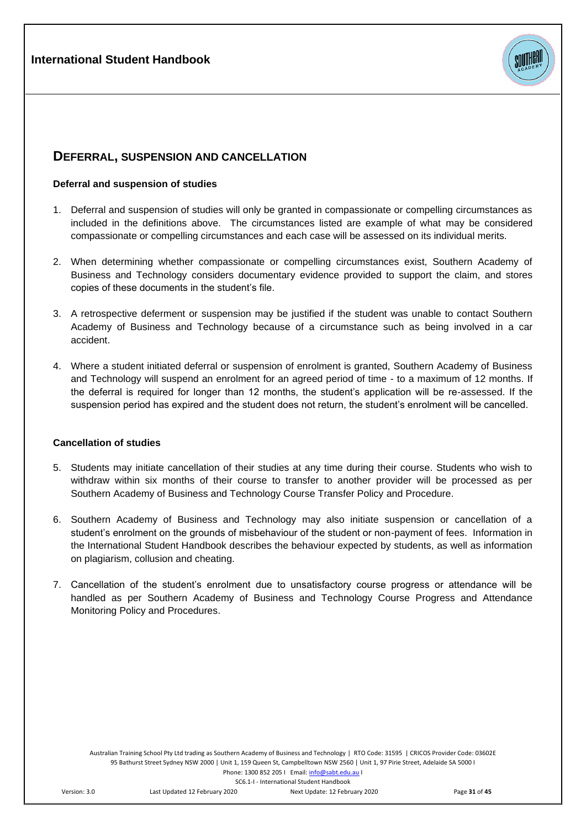

## **DEFERRAL, SUSPENSION AND CANCELLATION**

#### **Deferral and suspension of studies**

- 1. Deferral and suspension of studies will only be granted in compassionate or compelling circumstances as included in the definitions above. The circumstances listed are example of what may be considered compassionate or compelling circumstances and each case will be assessed on its individual merits.
- 2. When determining whether compassionate or compelling circumstances exist, Southern Academy of Business and Technology considers documentary evidence provided to support the claim, and stores copies of these documents in the student's file.
- 3. A retrospective deferment or suspension may be justified if the student was unable to contact Southern Academy of Business and Technology because of a circumstance such as being involved in a car accident.
- 4. Where a student initiated deferral or suspension of enrolment is granted, Southern Academy of Business and Technology will suspend an enrolment for an agreed period of time - to a maximum of 12 months. If the deferral is required for longer than 12 months, the student's application will be re-assessed. If the suspension period has expired and the student does not return, the student's enrolment will be cancelled.

#### **Cancellation of studies**

- 5. Students may initiate cancellation of their studies at any time during their course. Students who wish to withdraw within six months of their course to transfer to another provider will be processed as per Southern Academy of Business and Technology Course Transfer Policy and Procedure.
- 6. Southern Academy of Business and Technology may also initiate suspension or cancellation of a student's enrolment on the grounds of misbehaviour of the student or non-payment of fees. Information in the International Student Handbook describes the behaviour expected by students, as well as information on plagiarism, collusion and cheating.
- 7. Cancellation of the student's enrolment due to unsatisfactory course progress or attendance will be handled as per Southern Academy of Business and Technology Course Progress and Attendance Monitoring Policy and Procedures.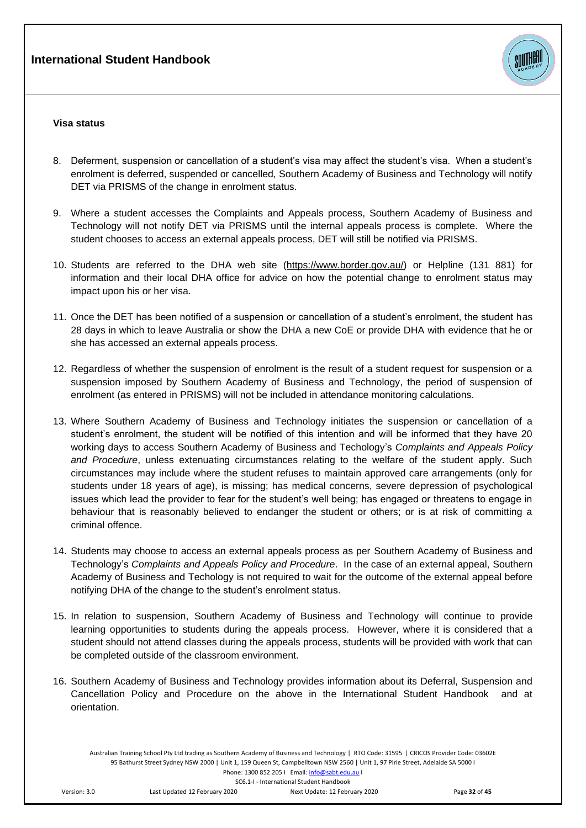

#### **Visa status**

- 8. Deferment, suspension or cancellation of a student's visa may affect the student's visa. When a student's enrolment is deferred, suspended or cancelled, Southern Academy of Business and Technology will notify DET via PRISMS of the change in enrolment status.
- 9. Where a student accesses the Complaints and Appeals process, Southern Academy of Business and Technology will not notify DET via PRISMS until the internal appeals process is complete. Where the student chooses to access an external appeals process, DET will still be notified via PRISMS.
- 10. Students are referred to the DHA web site [\(https://www.border.gov.au/\)](https://www.border.gov.au/) or Helpline (131 881) for information and their local DHA office for advice on how the potential change to enrolment status may impact upon his or her visa.
- 11. Once the DET has been notified of a suspension or cancellation of a student's enrolment, the student has 28 days in which to leave Australia or show the DHA a new CoE or provide DHA with evidence that he or she has accessed an external appeals process.
- 12. Regardless of whether the suspension of enrolment is the result of a student request for suspension or a suspension imposed by Southern Academy of Business and Technology, the period of suspension of enrolment (as entered in PRISMS) will not be included in attendance monitoring calculations.
- 13. Where Southern Academy of Business and Technology initiates the suspension or cancellation of a student's enrolment, the student will be notified of this intention and will be informed that they have 20 working days to access Southern Academy of Business and Techology's *Complaints and Appeals Policy and Procedure*, unless extenuating circumstances relating to the welfare of the student apply. Such circumstances may include where the student refuses to maintain approved care arrangements (only for students under 18 years of age), is missing; has medical concerns, severe depression of psychological issues which lead the provider to fear for the student's well being; has engaged or threatens to engage in behaviour that is reasonably believed to endanger the student or others; or is at risk of committing a criminal offence.
- 14. Students may choose to access an external appeals process as per Southern Academy of Business and Technology's *Complaints and Appeals Policy and Procedure*. In the case of an external appeal, Southern Academy of Business and Techology is not required to wait for the outcome of the external appeal before notifying DHA of the change to the student's enrolment status.
- 15. In relation to suspension, Southern Academy of Business and Technology will continue to provide learning opportunities to students during the appeals process. However, where it is considered that a student should not attend classes during the appeals process, students will be provided with work that can be completed outside of the classroom environment.
- 16. Southern Academy of Business and Technology provides information about its Deferral, Suspension and Cancellation Policy and Procedure on the above in the International Student Handbook and at orientation.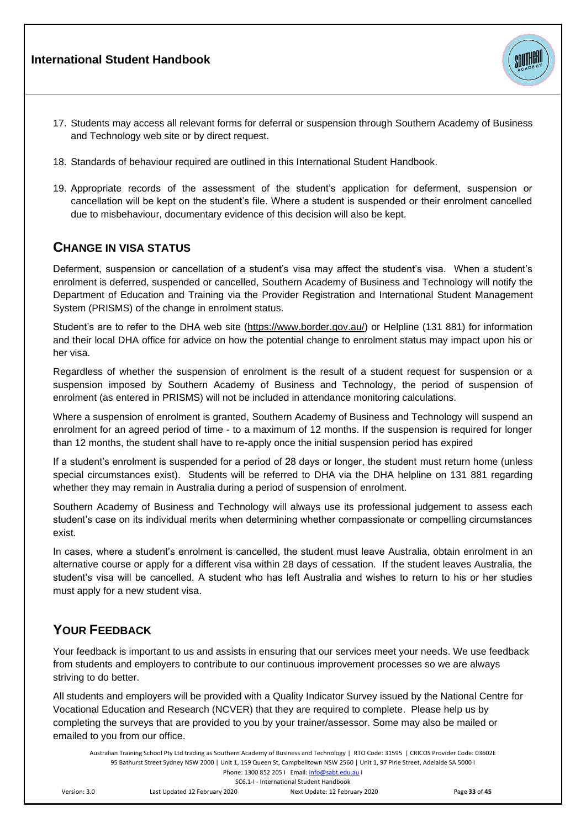

- 17. Students may access all relevant forms for deferral or suspension through Southern Academy of Business and Technology web site or by direct request.
- 18. Standards of behaviour required are outlined in this International Student Handbook.
- 19. Appropriate records of the assessment of the student's application for deferment, suspension or cancellation will be kept on the student's file. Where a student is suspended or their enrolment cancelled due to misbehaviour, documentary evidence of this decision will also be kept.

## **CHANGE IN VISA STATUS**

Deferment, suspension or cancellation of a student's visa may affect the student's visa. When a student's enrolment is deferred, suspended or cancelled, Southern Academy of Business and Technology will notify the Department of Education and Training via the Provider Registration and International Student Management System (PRISMS) of the change in enrolment status.

Student's are to refer to the DHA web site [\(https://www.border.gov.au/\)](https://www.border.gov.au/) or Helpline (131 881) for information and their local DHA office for advice on how the potential change to enrolment status may impact upon his or her visa.

Regardless of whether the suspension of enrolment is the result of a student request for suspension or a suspension imposed by Southern Academy of Business and Technology, the period of suspension of enrolment (as entered in PRISMS) will not be included in attendance monitoring calculations.

Where a suspension of enrolment is granted, Southern Academy of Business and Technology will suspend an enrolment for an agreed period of time - to a maximum of 12 months. If the suspension is required for longer than 12 months, the student shall have to re-apply once the initial suspension period has expired

If a student's enrolment is suspended for a period of 28 days or longer, the student must return home (unless special circumstances exist). Students will be referred to DHA via the DHA helpline on 131 881 regarding whether they may remain in Australia during a period of suspension of enrolment.

Southern Academy of Business and Technology will always use its professional judgement to assess each student's case on its individual merits when determining whether compassionate or compelling circumstances exist.

In cases, where a student's enrolment is cancelled, the student must leave Australia, obtain enrolment in an alternative course or apply for a different visa within 28 days of cessation. If the student leaves Australia, the student's visa will be cancelled. A student who has left Australia and wishes to return to his or her studies must apply for a new student visa.

# **YOUR FEEDBACK**

Your feedback is important to us and assists in ensuring that our services meet your needs. We use feedback from students and employers to contribute to our continuous improvement processes so we are always striving to do better.

All students and employers will be provided with a Quality Indicator Survey issued by the National Centre for Vocational Education and Research (NCVER) that they are required to complete. Please help us by completing the surveys that are provided to you by your trainer/assessor. Some may also be mailed or emailed to you from our office.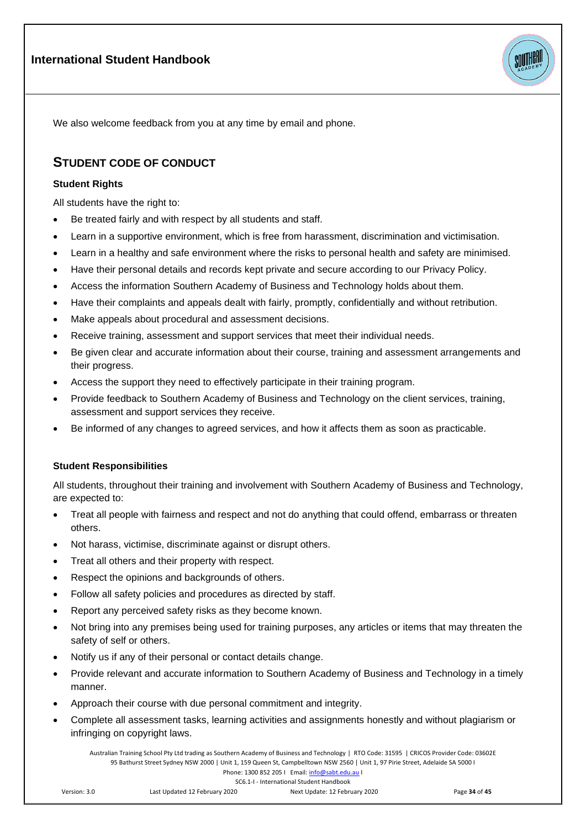

We also welcome feedback from you at any time by email and phone.

## **STUDENT CODE OF CONDUCT**

#### **Student Rights**

All students have the right to:

- Be treated fairly and with respect by all students and staff.
- Learn in a supportive environment, which is free from harassment, discrimination and victimisation.
- Learn in a healthy and safe environment where the risks to personal health and safety are minimised.
- Have their personal details and records kept private and secure according to our Privacy Policy.
- Access the information Southern Academy of Business and Technology holds about them.
- Have their complaints and appeals dealt with fairly, promptly, confidentially and without retribution.
- Make appeals about procedural and assessment decisions.
- Receive training, assessment and support services that meet their individual needs.
- Be given clear and accurate information about their course, training and assessment arrangements and their progress.
- Access the support they need to effectively participate in their training program.
- Provide feedback to Southern Academy of Business and Technology on the client services, training, assessment and support services they receive.
- Be informed of any changes to agreed services, and how it affects them as soon as practicable.

#### **Student Responsibilities**

All students, throughout their training and involvement with Southern Academy of Business and Technology, are expected to:

- Treat all people with fairness and respect and not do anything that could offend, embarrass or threaten others.
- Not harass, victimise, discriminate against or disrupt others.
- Treat all others and their property with respect.
- Respect the opinions and backgrounds of others.
- Follow all safety policies and procedures as directed by staff.
- Report any perceived safety risks as they become known.
- Not bring into any premises being used for training purposes, any articles or items that may threaten the safety of self or others.
- Notify us if any of their personal or contact details change.
- Provide relevant and accurate information to Southern Academy of Business and Technology in a timely manner.
- Approach their course with due personal commitment and integrity.
- Complete all assessment tasks, learning activities and assignments honestly and without plagiarism or infringing on copyright laws.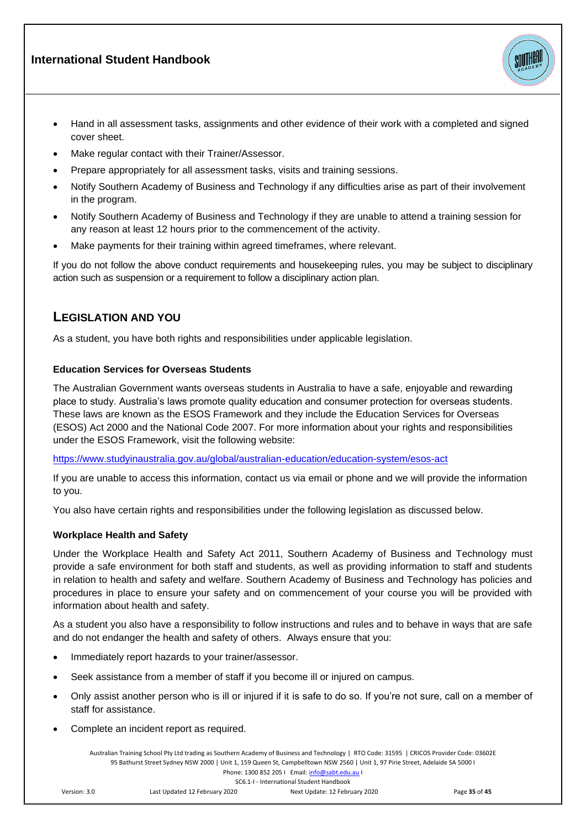- Hand in all assessment tasks, assignments and other evidence of their work with a completed and signed cover sheet.
- Make regular contact with their Trainer/Assessor.
- Prepare appropriately for all assessment tasks, visits and training sessions.
- Notify Southern Academy of Business and Technology if any difficulties arise as part of their involvement in the program.
- Notify Southern Academy of Business and Technology if they are unable to attend a training session for any reason at least 12 hours prior to the commencement of the activity.
- Make payments for their training within agreed timeframes, where relevant.

If you do not follow the above conduct requirements and housekeeping rules, you may be subject to disciplinary action such as suspension or a requirement to follow a disciplinary action plan.

## **LEGISLATION AND YOU**

As a student, you have both rights and responsibilities under applicable legislation.

#### **Education Services for Overseas Students**

The Australian Government wants overseas students in Australia to have a safe, enjoyable and rewarding place to study. Australia's laws promote quality education and consumer protection for overseas students. These laws are known as the ESOS Framework and they include the Education Services for Overseas (ESOS) Act 2000 and the National Code 2007. For more information about your rights and responsibilities under the ESOS Framework, visit the following website:

<https://www.studyinaustralia.gov.au/global/australian-education/education-system/esos-act>

If you are unable to access this information, contact us via email or phone and we will provide the information to you.

You also have certain rights and responsibilities under the following legislation as discussed below.

#### **Workplace Health and Safety**

Under the Workplace Health and Safety Act 2011, Southern Academy of Business and Technology must provide a safe environment for both staff and students, as well as providing information to staff and students in relation to health and safety and welfare. Southern Academy of Business and Technology has policies and procedures in place to ensure your safety and on commencement of your course you will be provided with information about health and safety.

As a student you also have a responsibility to follow instructions and rules and to behave in ways that are safe and do not endanger the health and safety of others. Always ensure that you:

- Immediately report hazards to your trainer/assessor.
- Seek assistance from a member of staff if you become ill or injured on campus.
- Only assist another person who is ill or injured if it is safe to do so. If you're not sure, call on a member of staff for assistance.
- Complete an incident report as required.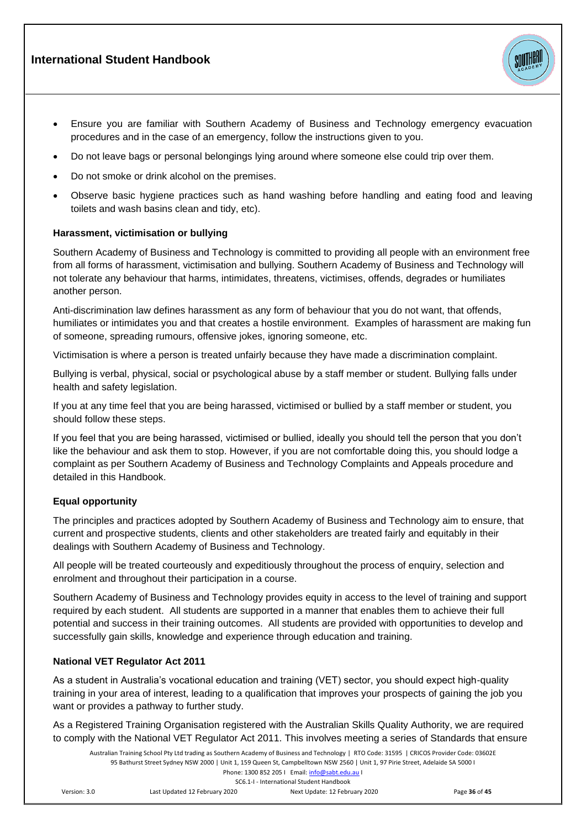- Ensure you are familiar with Southern Academy of Business and Technology emergency evacuation procedures and in the case of an emergency, follow the instructions given to you.
- Do not leave bags or personal belongings lying around where someone else could trip over them.
- Do not smoke or drink alcohol on the premises.
- Observe basic hygiene practices such as hand washing before handling and eating food and leaving toilets and wash basins clean and tidy, etc).

#### **Harassment, victimisation or bullying**

Southern Academy of Business and Technology is committed to providing all people with an environment free from all forms of harassment, victimisation and bullying. Southern Academy of Business and Technology will not tolerate any behaviour that harms, intimidates, threatens, victimises, offends, degrades or humiliates another person.

Anti-discrimination law defines harassment as any form of behaviour that you do not want, that offends, humiliates or intimidates you and that creates a hostile environment. Examples of harassment are making fun of someone, spreading rumours, offensive jokes, ignoring someone, etc.

Victimisation is where a person is treated unfairly because they have made a discrimination complaint.

Bullying is verbal, physical, social or psychological abuse by a staff member or student. Bullying falls under health and safety legislation.

If you at any time feel that you are being harassed, victimised or bullied by a staff member or student, you should follow these steps.

If you feel that you are being harassed, victimised or bullied, ideally you should tell the person that you don't like the behaviour and ask them to stop. However, if you are not comfortable doing this, you should lodge a complaint as per Southern Academy of Business and Technology Complaints and Appeals procedure and detailed in this Handbook.

#### **Equal opportunity**

The principles and practices adopted by Southern Academy of Business and Technology aim to ensure, that current and prospective students, clients and other stakeholders are treated fairly and equitably in their dealings with Southern Academy of Business and Technology.

All people will be treated courteously and expeditiously throughout the process of enquiry, selection and enrolment and throughout their participation in a course.

Southern Academy of Business and Technology provides equity in access to the level of training and support required by each student. All students are supported in a manner that enables them to achieve their full potential and success in their training outcomes. All students are provided with opportunities to develop and successfully gain skills, knowledge and experience through education and training.

#### **National VET Regulator Act 2011**

As a student in Australia's vocational education and training (VET) sector, you should expect high-quality training in your area of interest, leading to a qualification that improves your prospects of gaining the job you want or provides a pathway to further study.

As a Registered Training Organisation registered with the Australian Skills Quality Authority, we are required to comply with the National VET Regulator Act 2011. This involves meeting a series of Standards that ensure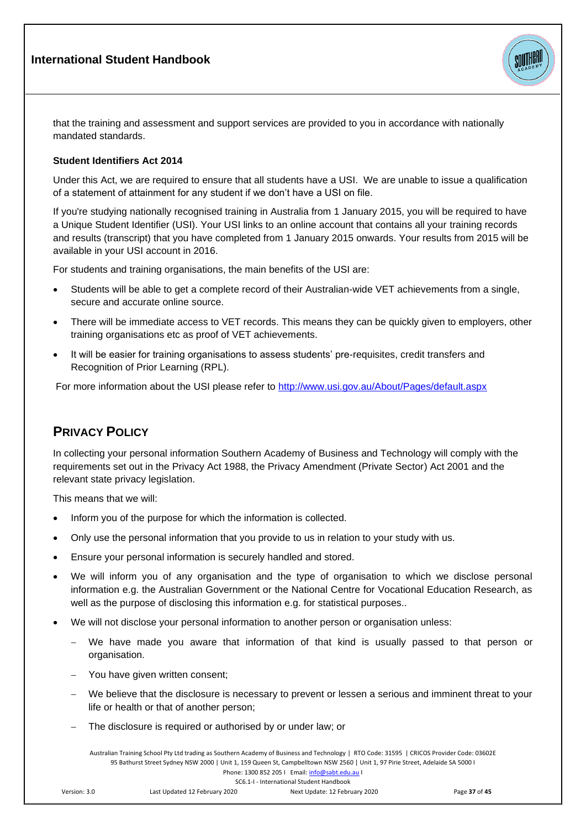

that the training and assessment and support services are provided to you in accordance with nationally mandated standards.

#### **Student Identifiers Act 2014**

Under this Act, we are required to ensure that all students have a USI. We are unable to issue a qualification of a statement of attainment for any student if we don't have a USI on file.

If you're studying [nationally recognised training](http://usi.gov.au/Students/Pages/nationally-recognised-training.aspx) in Australia from 1 January 2015, you will be required to have a Unique Student Identifier (USI). Your USI links to an online account that contains all your [training records](http://usi.gov.au/Students/Pages/training-records-and-results.aspx)  [and results](http://usi.gov.au/Students/Pages/training-records-and-results.aspx) (transcript) that you have completed from 1 January 2015 onwards. Your results from 2015 will be available in your USI account in 2016.

For students and training organisations, the main benefits of the USI are:

- Students will be able to get a complete record of their Australian-wide VET achievements from a single, secure and accurate online source.
- There will be immediate access to VET records. This means they can be quickly given to employers, other training organisations etc as proof of VET achievements.
- It will be easier for training organisations to assess students' pre-requisites, credit transfers and Recognition of Prior Learning (RPL).

For more information about the USI please refer to<http://www.usi.gov.au/About/Pages/default.aspx>

## **PRIVACY POLICY**

In collecting your personal information Southern Academy of Business and Technology will comply with the requirements set out in the Privacy Act 1988, the Privacy Amendment (Private Sector) Act 2001 and the relevant state privacy legislation.

This means that we will:

- Inform you of the purpose for which the information is collected.
- Only use the personal information that you provide to us in relation to your study with us.
- Ensure your personal information is securely handled and stored.
- We will inform you of any organisation and the type of organisation to which we disclose personal information e.g. the Australian Government or the National Centre for Vocational Education Research, as well as the purpose of disclosing this information e.g. for statistical purposes..
- We will not disclose your personal information to another person or organisation unless:
	- − We have made you aware that information of that kind is usually passed to that person or organisation.
	- − You have given written consent;
	- We believe that the disclosure is necessary to prevent or lessen a serious and imminent threat to your life or health or that of another person;
	- The disclosure is required or authorised by or under law; or

Australian Training School Pty Ltd trading as Southern Academy of Business and Technology | RTO Code: 31595 | CRICOS Provider Code: 03602E 95 Bathurst Street Sydney NSW 2000 | Unit 1, 159 Queen St, Campbelltown NSW 2560 | Unit 1, 97 Pirie Street, Adelaide SA 5000 I Phone: 1300 852 205 | Email[: info@sabt.edu.au](mailto:info@sabt.edu.au) | SC6.1-I - International Student Handbook Version: 3.0 Last Updated 12 February 2020 Next Update: 12 February 2020 Page **37** of **45**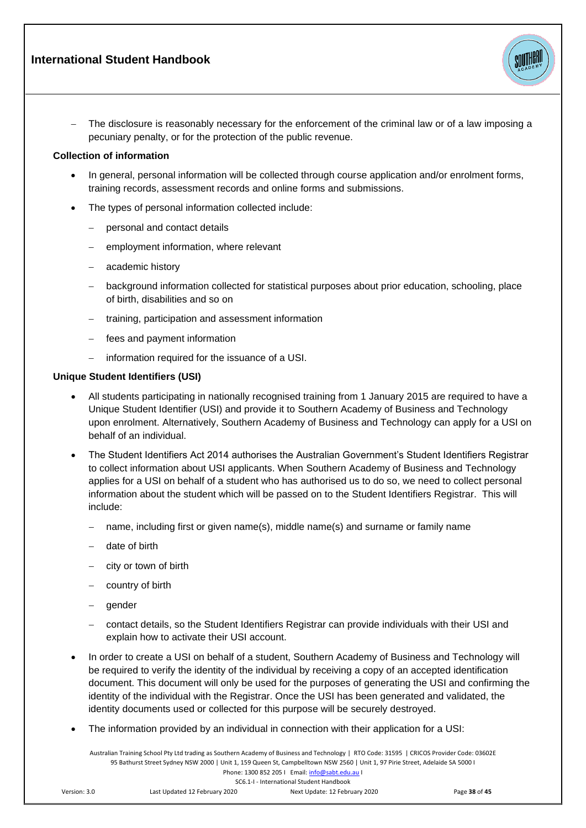The disclosure is reasonably necessary for the enforcement of the criminal law or of a law imposing a pecuniary penalty, or for the protection of the public revenue.

#### **Collection of information**

- In general, personal information will be collected through course application and/or enrolment forms, training records, assessment records and online forms and submissions.
- The types of personal information collected include:
	- personal and contact details
	- employment information, where relevant
	- − academic history
	- background information collected for statistical purposes about prior education, schooling, place of birth, disabilities and so on
	- training, participation and assessment information
	- fees and payment information
	- information required for the issuance of a USI.

#### **Unique Student Identifiers (USI)**

- All students participating in nationally recognised training from 1 January 2015 are required to have a Unique Student Identifier (USI) and provide it to Southern Academy of Business and Technology upon enrolment. Alternatively, Southern Academy of Business and Technology can apply for a USI on behalf of an individual.
- The Student Identifiers Act 2014 authorises the Australian Government's Student Identifiers Registrar to collect information about USI applicants. When Southern Academy of Business and Technology applies for a USI on behalf of a student who has authorised us to do so, we need to collect personal information about the student which will be passed on to the Student Identifiers Registrar. This will include:
	- name, including first or given name(s), middle name(s) and surname or family name
	- − date of birth
	- city or town of birth
	- country of birth
	- − gender
	- contact details, so the Student Identifiers Registrar can provide individuals with their USI and explain how to activate their USI account.
- In order to create a USI on behalf of a student, Southern Academy of Business and Technology will be required to verify the identity of the individual by receiving a copy of an accepted identification document. This document will only be used for the purposes of generating the USI and confirming the identity of the individual with the Registrar. Once the USI has been generated and validated, the identity documents used or collected for this purpose will be securely destroyed.
- The information provided by an individual in connection with their application for a USI: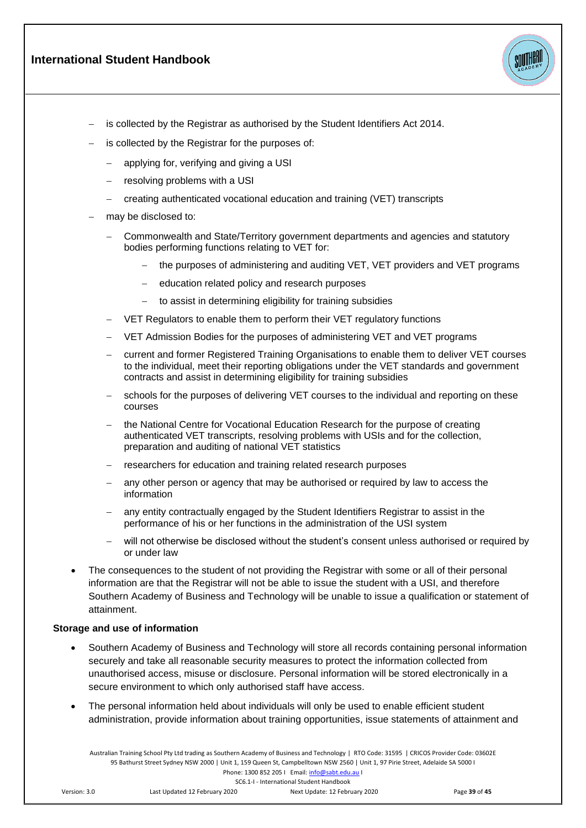

- is collected by the Registrar as authorised by the Student Identifiers Act 2014.
- is collected by the Registrar for the purposes of:
	- applying for, verifying and giving a USI
	- resolving problems with a USI
	- − creating authenticated vocational education and training (VET) transcripts
- may be disclosed to:
	- − Commonwealth and State/Territory government departments and agencies and statutory bodies performing functions relating to VET for:
		- the purposes of administering and auditing VET, VET providers and VET programs
		- − education related policy and research purposes
		- to assist in determining eligibility for training subsidies
	- VET Regulators to enable them to perform their VET regulatory functions
	- VET Admission Bodies for the purposes of administering VET and VET programs
	- − current and former Registered Training Organisations to enable them to deliver VET courses to the individual, meet their reporting obligations under the VET standards and government contracts and assist in determining eligibility for training subsidies
	- schools for the purposes of delivering VET courses to the individual and reporting on these courses
	- the National Centre for Vocational Education Research for the purpose of creating authenticated VET transcripts, resolving problems with USIs and for the collection, preparation and auditing of national VET statistics
	- researchers for education and training related research purposes
	- any other person or agency that may be authorised or required by law to access the information
	- any entity contractually engaged by the Student Identifiers Registrar to assist in the performance of his or her functions in the administration of the USI system
	- will not otherwise be disclosed without the student's consent unless authorised or required by or under law
- The consequences to the student of not providing the Registrar with some or all of their personal information are that the Registrar will not be able to issue the student with a USI, and therefore Southern Academy of Business and Technology will be unable to issue a qualification or statement of attainment.

#### **Storage and use of information**

- Southern Academy of Business and Technology will store all records containing personal information securely and take all reasonable security measures to protect the information collected from unauthorised access, misuse or disclosure. Personal information will be stored electronically in a secure environment to which only authorised staff have access.
- The personal information held about individuals will only be used to enable efficient student administration, provide information about training opportunities, issue statements of attainment and

Australian Training School Pty Ltd trading as Southern Academy of Business and Technology | RTO Code: 31595 | CRICOS Provider Code: 03602E 95 Bathurst Street Sydney NSW 2000 | Unit 1, 159 Queen St, Campbelltown NSW 2560 | Unit 1, 97 Pirie Street, Adelaide SA 5000 I Phone: 1300 852 205 | Email[: info@sabt.edu.au](mailto:info@sabt.edu.au) | SC6.1-I - International Student Handbook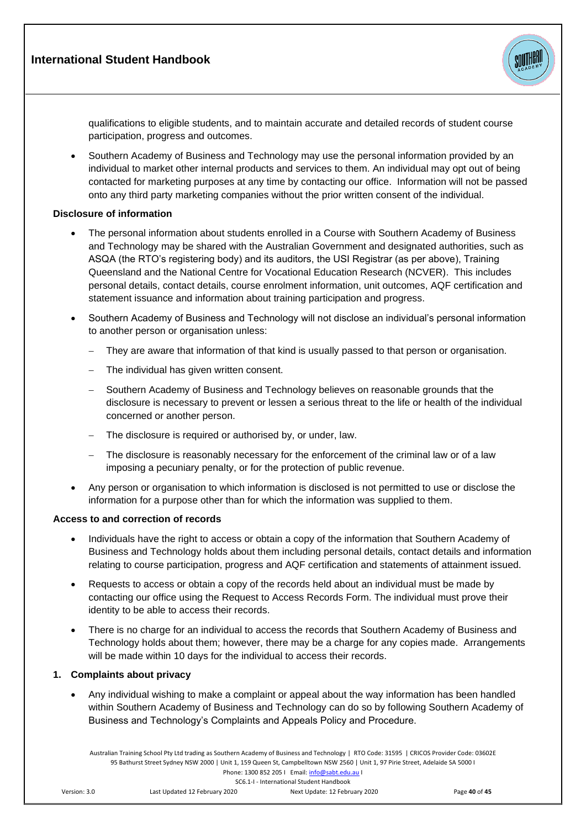

qualifications to eligible students, and to maintain accurate and detailed records of student course participation, progress and outcomes.

• Southern Academy of Business and Technology may use the personal information provided by an individual to market other internal products and services to them. An individual may opt out of being contacted for marketing purposes at any time by contacting our office. Information will not be passed onto any third party marketing companies without the prior written consent of the individual.

#### **Disclosure of information**

- The personal information about students enrolled in a Course with Southern Academy of Business and Technology may be shared with the Australian Government and designated authorities, such as ASQA (the RTO's registering body) and its auditors, the USI Registrar (as per above), Training Queensland and the National Centre for Vocational Education Research (NCVER). This includes personal details, contact details, course enrolment information, unit outcomes, AQF certification and statement issuance and information about training participation and progress.
- Southern Academy of Business and Technology will not disclose an individual's personal information to another person or organisation unless:
	- They are aware that information of that kind is usually passed to that person or organisation.
	- The individual has given written consent.
	- Southern Academy of Business and Technology believes on reasonable grounds that the disclosure is necessary to prevent or lessen a serious threat to the life or health of the individual concerned or another person.
	- The disclosure is required or authorised by, or under, law.
	- The disclosure is reasonably necessary for the enforcement of the criminal law or of a law imposing a pecuniary penalty, or for the protection of public revenue.
- Any person or organisation to which information is disclosed is not permitted to use or disclose the information for a purpose other than for which the information was supplied to them.

#### **Access to and correction of records**

- Individuals have the right to access or obtain a copy of the information that Southern Academy of Business and Technology holds about them including personal details, contact details and information relating to course participation, progress and AQF certification and statements of attainment issued.
- Requests to access or obtain a copy of the records held about an individual must be made by contacting our office using the Request to Access Records Form. The individual must prove their identity to be able to access their records.
- There is no charge for an individual to access the records that Southern Academy of Business and Technology holds about them; however, there may be a charge for any copies made. Arrangements will be made within 10 days for the individual to access their records.

#### **1. Complaints about privacy**

• Any individual wishing to make a complaint or appeal about the way information has been handled within Southern Academy of Business and Technology can do so by following Southern Academy of Business and Technology's Complaints and Appeals Policy and Procedure.

Australian Training School Pty Ltd trading as Southern Academy of Business and Technology | RTO Code: 31595 | CRICOS Provider Code: 03602E 95 Bathurst Street Sydney NSW 2000 | Unit 1, 159 Queen St, Campbelltown NSW 2560 | Unit 1, 97 Pirie Street, Adelaide SA 5000 I Phone: 1300 852 205 | Email[: info@sabt.edu.au](mailto:info@sabt.edu.au) | SC6.1-I - International Student Handbook Version: 3.0 Last Updated 12 February 2020 Next Update: 12 February 2020 Page **40** of **45**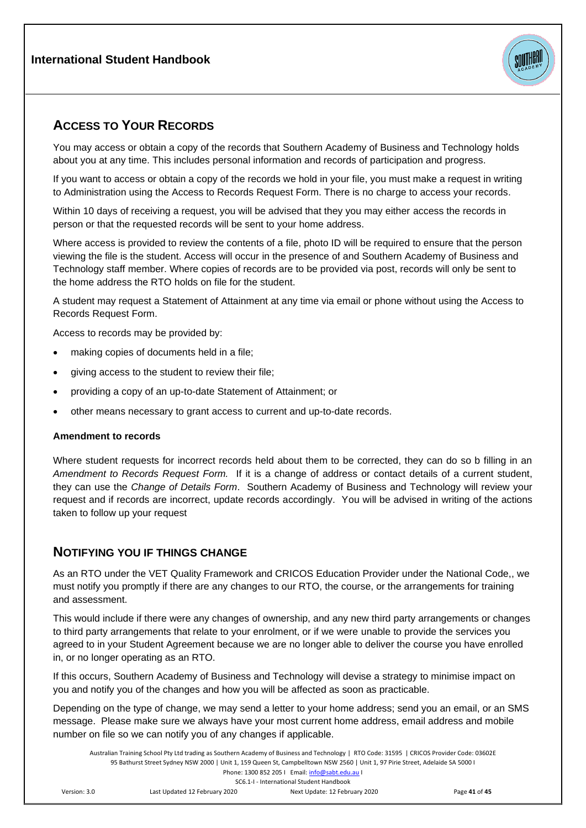

# **ACCESS TO YOUR RECORDS**

You may access or obtain a copy of the records that Southern Academy of Business and Technology holds about you at any time. This includes personal information and records of participation and progress.

If you want to access or obtain a copy of the records we hold in your file, you must make a request in writing to Administration using the Access to Records Request Form. There is no charge to access your records.

Within 10 days of receiving a request, you will be advised that they you may either access the records in person or that the requested records will be sent to your home address.

Where access is provided to review the contents of a file, photo ID will be required to ensure that the person viewing the file is the student. Access will occur in the presence of and Southern Academy of Business and Technology staff member. Where copies of records are to be provided via post, records will only be sent to the home address the RTO holds on file for the student.

A student may request a Statement of Attainment at any time via email or phone without using the Access to Records Request Form.

Access to records may be provided by:

- making copies of documents held in a file;
- giving access to the student to review their file;
- providing a copy of an up-to-date Statement of Attainment; or
- other means necessary to grant access to current and up-to-date records.

#### **Amendment to records**

Where student requests for incorrect records held about them to be corrected, they can do so b filling in an *Amendment to Records Request Form.* If it is a change of address or contact details of a current student, they can use the *Change of Details Form*. Southern Academy of Business and Technology will review your request and if records are incorrect, update records accordingly. You will be advised in writing of the actions taken to follow up your request

## **NOTIFYING YOU IF THINGS CHANGE**

As an RTO under the VET Quality Framework and CRICOS Education Provider under the National Code,, we must notify you promptly if there are any changes to our RTO, the course, or the arrangements for training and assessment.

This would include if there were any changes of ownership, and any new third party arrangements or changes to third party arrangements that relate to your enrolment, or if we were unable to provide the services you agreed to in your Student Agreement because we are no longer able to deliver the course you have enrolled in, or no longer operating as an RTO.

If this occurs, Southern Academy of Business and Technology will devise a strategy to minimise impact on you and notify you of the changes and how you will be affected as soon as practicable.

Depending on the type of change, we may send a letter to your home address; send you an email, or an SMS message. Please make sure we always have your most current home address, email address and mobile number on file so we can notify you of any changes if applicable.

Australian Training School Pty Ltd trading as Southern Academy of Business and Technology | RTO Code: 31595 | CRICOS Provider Code: 03602E 95 Bathurst Street Sydney NSW 2000 | Unit 1, 159 Queen St, Campbelltown NSW 2560 | Unit 1, 97 Pirie Street, Adelaide SA 5000 I Phone: 1300 852 205 I Email[: info@sabt.edu.au](mailto:info@sabt.edu.au) I SC6.1-I - International Student Handbook Version: 3.0 Last Updated 12 February 2020 Next Update: 12 February 2020 Page **41** of **45**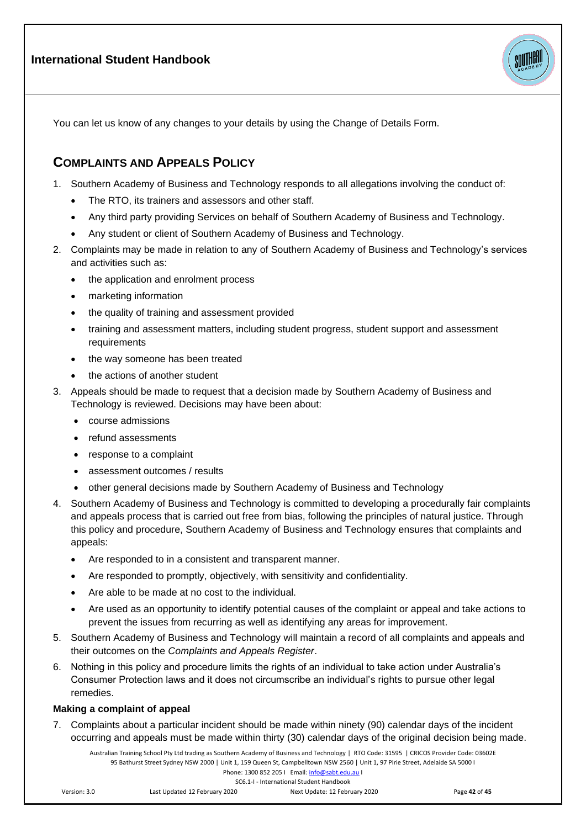

You can let us know of any changes to your details by using the Change of Details Form.

## **COMPLAINTS AND APPEALS POLICY**

- 1. Southern Academy of Business and Technology responds to all allegations involving the conduct of:
	- The RTO, its trainers and assessors and other staff.
	- Any third party providing Services on behalf of Southern Academy of Business and Technology.
	- Any student or client of Southern Academy of Business and Technology.
- 2. Complaints may be made in relation to any of Southern Academy of Business and Technology's services and activities such as:
	- the application and enrolment process
	- marketing information
	- the quality of training and assessment provided
	- training and assessment matters, including student progress, student support and assessment requirements
	- the way someone has been treated
	- the actions of another student
- 3. Appeals should be made to request that a decision made by Southern Academy of Business and Technology is reviewed. Decisions may have been about:
	- course admissions
	- refund assessments
	- response to a complaint
	- assessment outcomes / results
	- other general decisions made by Southern Academy of Business and Technology
- 4. Southern Academy of Business and Technology is committed to developing a procedurally fair complaints and appeals process that is carried out free from bias, following the principles of natural justice. Through this policy and procedure, Southern Academy of Business and Technology ensures that complaints and appeals:
	- Are responded to in a consistent and transparent manner.
	- Are responded to promptly, objectively, with sensitivity and confidentiality.
	- Are able to be made at no cost to the individual.
	- Are used as an opportunity to identify potential causes of the complaint or appeal and take actions to prevent the issues from recurring as well as identifying any areas for improvement.
- 5. Southern Academy of Business and Technology will maintain a record of all complaints and appeals and their outcomes on the *Complaints and Appeals Register*.
- 6. Nothing in this policy and procedure limits the rights of an individual to take action under Australia's Consumer Protection laws and it does not circumscribe an individual's rights to pursue other legal remedies.

#### **Making a complaint of appeal**

7. Complaints about a particular incident should be made within ninety (90) calendar days of the incident occurring and appeals must be made within thirty (30) calendar days of the original decision being made.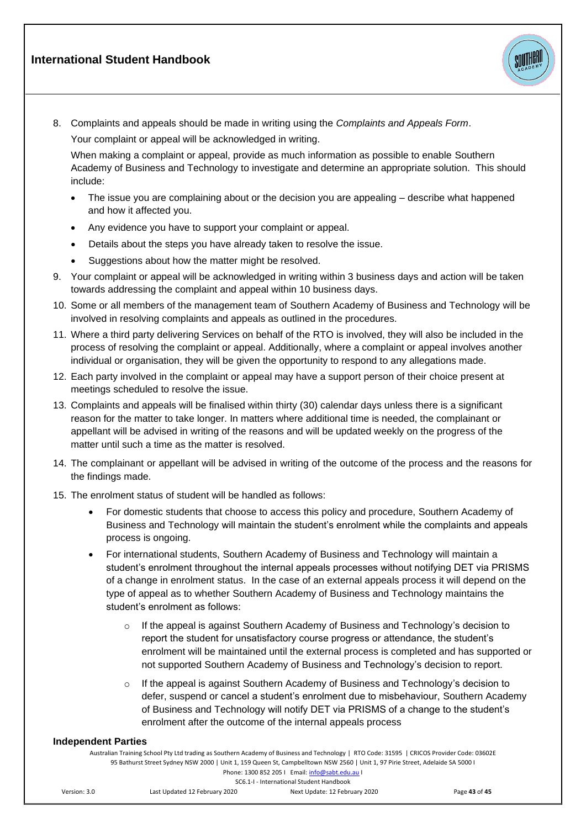8. Complaints and appeals should be made in writing using the *Complaints and Appeals Form*. Your complaint or appeal will be acknowledged in writing.

When making a complaint or appeal, provide as much information as possible to enable Southern Academy of Business and Technology to investigate and determine an appropriate solution. This should include:

- The issue you are complaining about or the decision you are appealing describe what happened and how it affected you.
- Any evidence you have to support your complaint or appeal.
- Details about the steps you have already taken to resolve the issue.
- Suggestions about how the matter might be resolved.
- 9. Your complaint or appeal will be acknowledged in writing within 3 business days and action will be taken towards addressing the complaint and appeal within 10 business days.
- 10. Some or all members of the management team of Southern Academy of Business and Technology will be involved in resolving complaints and appeals as outlined in the procedures.
- 11. Where a third party delivering Services on behalf of the RTO is involved, they will also be included in the process of resolving the complaint or appeal. Additionally, where a complaint or appeal involves another individual or organisation, they will be given the opportunity to respond to any allegations made.
- 12. Each party involved in the complaint or appeal may have a support person of their choice present at meetings scheduled to resolve the issue.
- 13. Complaints and appeals will be finalised within thirty (30) calendar days unless there is a significant reason for the matter to take longer. In matters where additional time is needed, the complainant or appellant will be advised in writing of the reasons and will be updated weekly on the progress of the matter until such a time as the matter is resolved.
- 14. The complainant or appellant will be advised in writing of the outcome of the process and the reasons for the findings made.
- 15. The enrolment status of student will be handled as follows:
	- For domestic students that choose to access this policy and procedure, Southern Academy of Business and Technology will maintain the student's enrolment while the complaints and appeals process is ongoing.
	- For international students, Southern Academy of Business and Technology will maintain a student's enrolment throughout the internal appeals processes without notifying DET via PRISMS of a change in enrolment status. In the case of an external appeals process it will depend on the type of appeal as to whether Southern Academy of Business and Technology maintains the student's enrolment as follows:
		- If the appeal is against Southern Academy of Business and Technology's decision to report the student for unsatisfactory course progress or attendance, the student's enrolment will be maintained until the external process is completed and has supported or not supported Southern Academy of Business and Technology's decision to report.
		- $\circ$  If the appeal is against Southern Academy of Business and Technology's decision to defer, suspend or cancel a student's enrolment due to misbehaviour, Southern Academy of Business and Technology will notify DET via PRISMS of a change to the student's enrolment after the outcome of the internal appeals process

#### **Independent Parties**

Australian Training School Pty Ltd trading as Southern Academy of Business and Technology | RTO Code: 31595 | CRICOS Provider Code: 03602E 95 Bathurst Street Sydney NSW 2000 | Unit 1, 159 Queen St, Campbelltown NSW 2560 | Unit 1, 97 Pirie Street, Adelaide SA 5000 I Phone: 1300 852 205 | Email[: info@sabt.edu.au](mailto:info@sabt.edu.au) | SC6.1-I - International Student Handbook Version: 3.0 Last Updated 12 February 2020 Next Update: 12 February 2020 Page **43** of **45**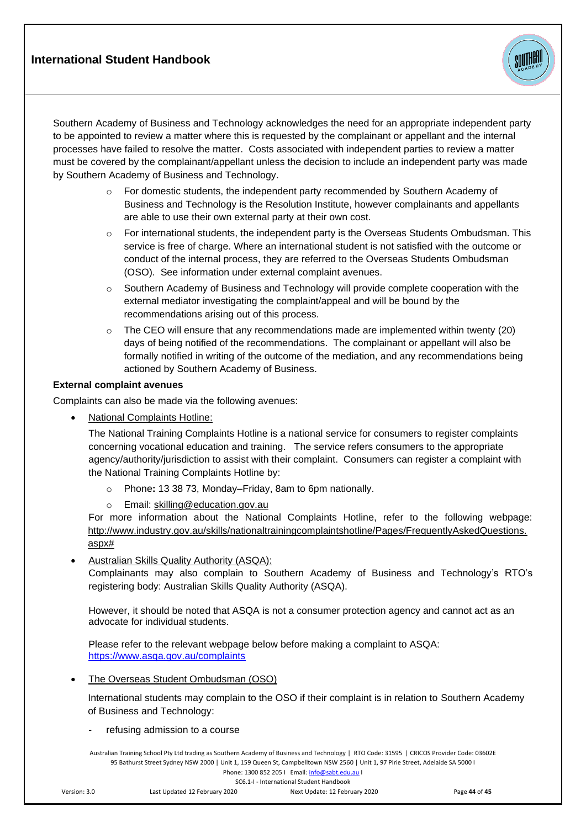

Southern Academy of Business and Technology acknowledges the need for an appropriate independent party to be appointed to review a matter where this is requested by the complainant or appellant and the internal processes have failed to resolve the matter. Costs associated with independent parties to review a matter must be covered by the complainant/appellant unless the decision to include an independent party was made by Southern Academy of Business and Technology.

- o For domestic students, the independent party recommended by Southern Academy of Business and Technology is the Resolution Institute, however complainants and appellants are able to use their own external party at their own cost.
- $\circ$  For international students, the independent party is the Overseas Students Ombudsman. This service is free of charge. Where an international student is not satisfied with the outcome or conduct of the internal process, they are referred to the Overseas Students Ombudsman (OSO). See information under external complaint avenues.
- o Southern Academy of Business and Technology will provide complete cooperation with the external mediator investigating the complaint/appeal and will be bound by the recommendations arising out of this process.
- $\circ$  The CEO will ensure that any recommendations made are implemented within twenty (20) days of being notified of the recommendations. The complainant or appellant will also be formally notified in writing of the outcome of the mediation, and any recommendations being actioned by Southern Academy of Business.

#### **External complaint avenues**

Complaints can also be made via the following avenues:

• National Complaints Hotline:

The National Training Complaints Hotline is a national service for consumers to register complaints concerning vocational education and training. The service refers consumers to the appropriate agency/authority/jurisdiction to assist with their complaint. Consumers can register a complaint with the National Training Complaints Hotline by:

- o Phone**:** 13 38 73, Monday–Friday, 8am to 6pm nationally.
- Email: [skilling@education.gov.au](mailto:skilling@education.gov.au)

For more information about the National Complaints Hotline, refer to the following webpage: [http://www.industry.gov.au/skills/nationaltrainingcomplaintshotline/Pages/FrequentlyAskedQuestions.](http://www.industry.gov.au/skills/nationaltrainingcomplaintshotline/Pages/FrequentlyAskedQuestions.aspx) [aspx#](http://www.industry.gov.au/skills/nationaltrainingcomplaintshotline/Pages/FrequentlyAskedQuestions.aspx)

• Australian Skills Quality Authority (ASQA):

Complainants may also complain to Southern Academy of Business and Technology's RTO's registering body: Australian Skills Quality Authority (ASQA).

However, it should be noted that ASQA is not a consumer protection agency and cannot act as an advocate for individual students.

Please refer to the relevant webpage below before making a complaint to ASQA: <https://www.asqa.gov.au/complaints>

The Overseas Student Ombudsman (OSO)

International students may complain to the OSO if their complaint is in relation to Southern Academy of Business and Technology:

refusing admission to a course

Australian Training School Pty Ltd trading as Southern Academy of Business and Technology | RTO Code: 31595 | CRICOS Provider Code: 03602E 95 Bathurst Street Sydney NSW 2000 | Unit 1, 159 Queen St, Campbelltown NSW 2560 | Unit 1, 97 Pirie Street, Adelaide SA 5000 I Phone: 1300 852 205 | Email[: info@sabt.edu.au](mailto:info@sabt.edu.au) | SC6.1-I - International Student Handbook